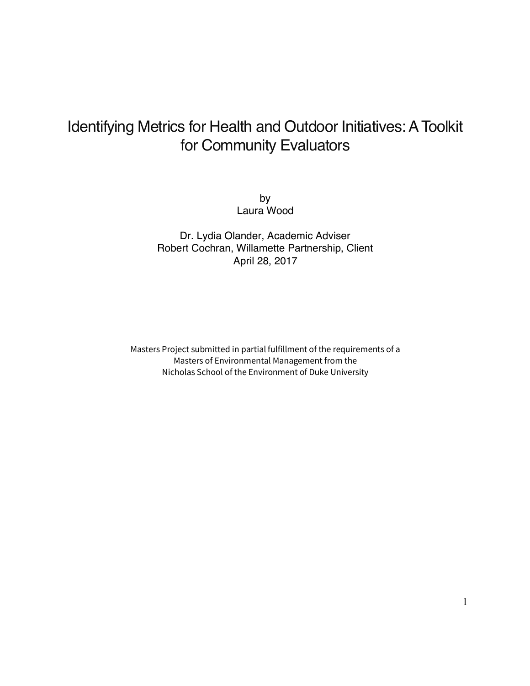## Identifying Metrics for Health and Outdoor Initiatives: A Toolkit for Community Evaluators

by Laura Wood

Dr. Lydia Olander, Academic Adviser Robert Cochran, Willamette Partnership, Client April 28, 2017

Masters Project submitted in partial fulfillment of the requirements of a Masters of Environmental Management from the Nicholas School of the Environment of Duke University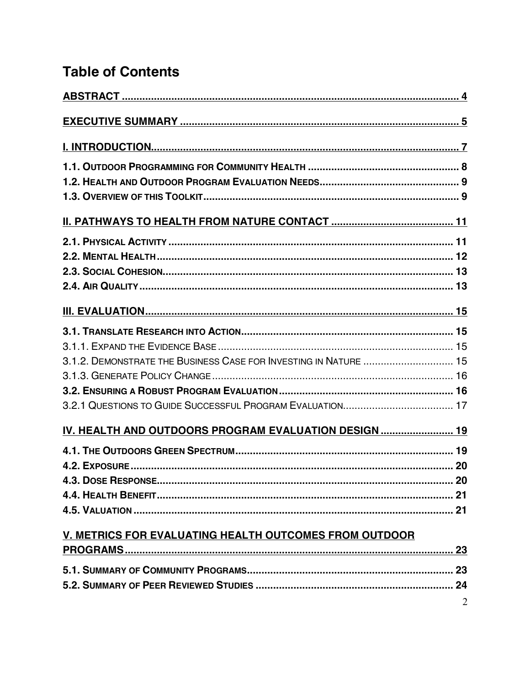## **Table of Contents**

| 3.1.2. DEMONSTRATE THE BUSINESS CASE FOR INVESTING IN NATURE  15 |  |
|------------------------------------------------------------------|--|
|                                                                  |  |
|                                                                  |  |
|                                                                  |  |
| IV. HEALTH AND OUTDOORS PROGRAM EVALUATION DESIGN 19             |  |
|                                                                  |  |
|                                                                  |  |
|                                                                  |  |
|                                                                  |  |
|                                                                  |  |
| <u>V. METRICS FOR EVALUATING HEALTH OUTCOMES FROM OUTDOOR</u>    |  |
|                                                                  |  |
|                                                                  |  |
|                                                                  |  |
|                                                                  |  |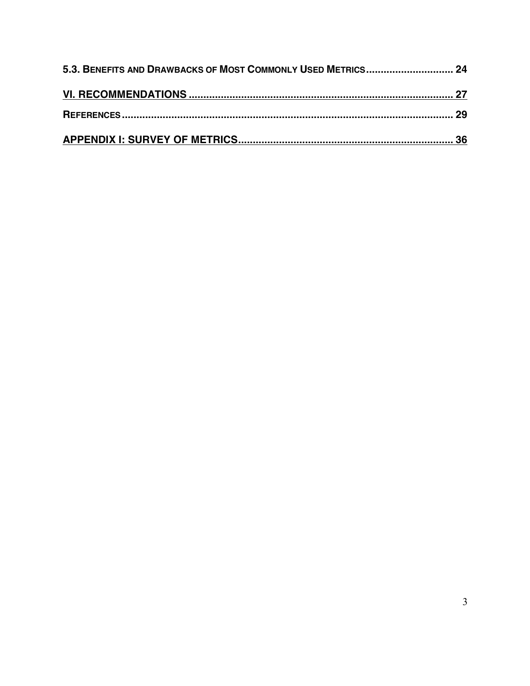| 5.3. BENEFITS AND DRAWBACKS OF MOST COMMONLY USED METRICS 24 |  |
|--------------------------------------------------------------|--|
|                                                              |  |
|                                                              |  |
|                                                              |  |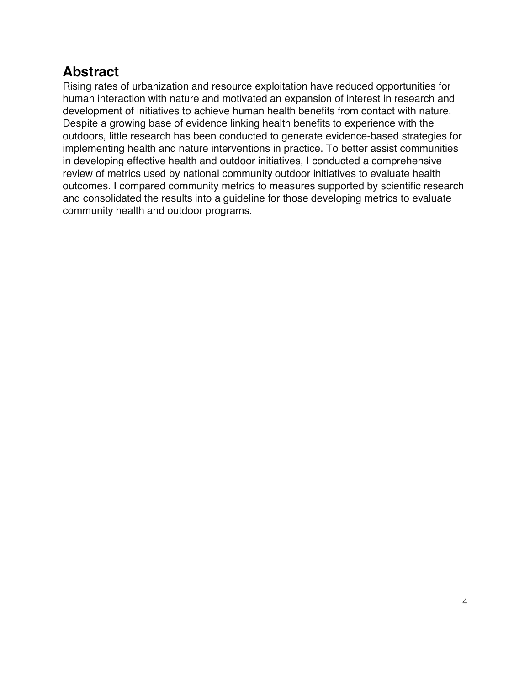## **Abstract**

Rising rates of urbanization and resource exploitation have reduced opportunities for human interaction with nature and motivated an expansion of interest in research and development of initiatives to achieve human health benefits from contact with nature. Despite a growing base of evidence linking health benefits to experience with the outdoors, little research has been conducted to generate evidence-based strategies for implementing health and nature interventions in practice. To better assist communities in developing effective health and outdoor initiatives, I conducted a comprehensive review of metrics used by national community outdoor initiatives to evaluate health outcomes. I compared community metrics to measures supported by scientific research and consolidated the results into a guideline for those developing metrics to evaluate community health and outdoor programs.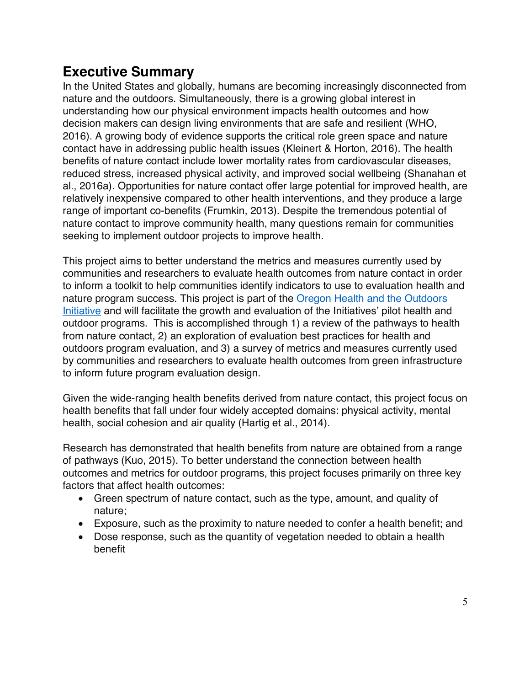## **Executive Summary**

In the United States and globally, humans are becoming increasingly disconnected from nature and the outdoors. Simultaneously, there is a growing global interest in understanding how our physical environment impacts health outcomes and how decision makers can design living environments that are safe and resilient (WHO, 2016). A growing body of evidence supports the critical role green space and nature contact have in addressing public health issues (Kleinert & Horton, 2016). The health benefits of nature contact include lower mortality rates from cardiovascular diseases, reduced stress, increased physical activity, and improved social wellbeing (Shanahan et al., 2016a). Opportunities for nature contact offer large potential for improved health, are relatively inexpensive compared to other health interventions, and they produce a large range of important co-benefits (Frumkin, 2013). Despite the tremendous potential of nature contact to improve community health, many questions remain for communities seeking to implement outdoor projects to improve health.

This project aims to better understand the metrics and measures currently used by communities and researchers to evaluate health outcomes from nature contact in order to inform a toolkit to help communities identify indicators to use to evaluation health and nature program success. This project is part of the Oregon Health and the Outdoors Initiative and will facilitate the growth and evaluation of the Initiatives' pilot health and outdoor programs. This is accomplished through 1) a review of the pathways to health from nature contact, 2) an exploration of evaluation best practices for health and outdoors program evaluation, and 3) a survey of metrics and measures currently used by communities and researchers to evaluate health outcomes from green infrastructure to inform future program evaluation design.

Given the wide-ranging health benefits derived from nature contact, this project focus on health benefits that fall under four widely accepted domains: physical activity, mental health, social cohesion and air quality (Hartig et al., 2014).

Research has demonstrated that health benefits from nature are obtained from a range of pathways (Kuo, 2015). To better understand the connection between health outcomes and metrics for outdoor programs, this project focuses primarily on three key factors that affect health outcomes:

- Green spectrum of nature contact, such as the type, amount, and quality of nature;
- Exposure, such as the proximity to nature needed to confer a health benefit; and
- Dose response, such as the quantity of vegetation needed to obtain a health benefit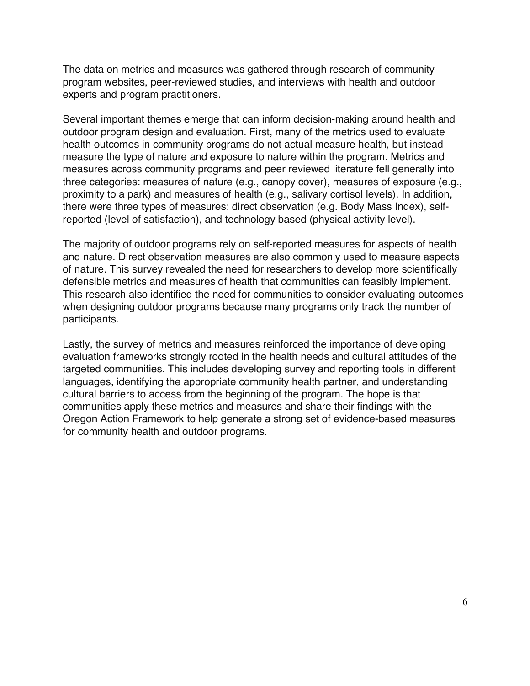The data on metrics and measures was gathered through research of community program websites, peer-reviewed studies, and interviews with health and outdoor experts and program practitioners.

Several important themes emerge that can inform decision-making around health and outdoor program design and evaluation. First, many of the metrics used to evaluate health outcomes in community programs do not actual measure health, but instead measure the type of nature and exposure to nature within the program. Metrics and measures across community programs and peer reviewed literature fell generally into three categories: measures of nature (e.g., canopy cover), measures of exposure (e.g., proximity to a park) and measures of health (e.g., salivary cortisol levels). In addition, there were three types of measures: direct observation (e.g. Body Mass Index), selfreported (level of satisfaction), and technology based (physical activity level).

The majority of outdoor programs rely on self-reported measures for aspects of health and nature. Direct observation measures are also commonly used to measure aspects of nature. This survey revealed the need for researchers to develop more scientifically defensible metrics and measures of health that communities can feasibly implement. This research also identified the need for communities to consider evaluating outcomes when designing outdoor programs because many programs only track the number of participants.

Lastly, the survey of metrics and measures reinforced the importance of developing evaluation frameworks strongly rooted in the health needs and cultural attitudes of the targeted communities. This includes developing survey and reporting tools in different languages, identifying the appropriate community health partner, and understanding cultural barriers to access from the beginning of the program. The hope is that communities apply these metrics and measures and share their findings with the Oregon Action Framework to help generate a strong set of evidence-based measures for community health and outdoor programs.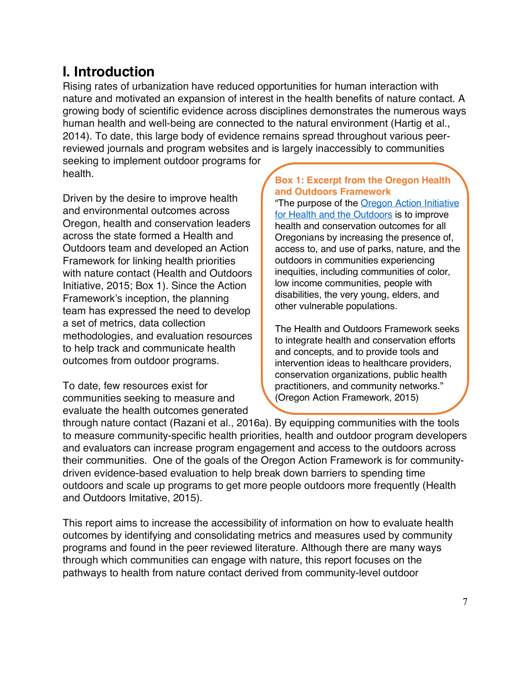## **I. Introduction**

Rising rates of urbanization have reduced opportunities for human interaction with nature and motivated an expansion of interest in the health benefits of nature contact. A growing body of scientific evidence across disciplines demonstrates the numerous ways human health and well-being are connected to the natural environment (Hartig et al., 2014). To date, this large body of evidence remains spread throughout various peerreviewed journals and program websites and is largely inaccessibly to communities seeking to implement outdoor programs for health.

Driven by the desire to improve health and environmental outcomes across Oregon, health and conservation leaders across the state formed a Health and Outdoors team and developed an Action Framework for linking health priorities with nature contact (Health and Outdoors Initiative, 2015; Box 1). Since the Action Framework's inception, the planning team has expressed the need to develop a set of metrics, data collection methodologies, and evaluation resources

to help track and communicate health outcomes from outdoor programs.

To date, few resources exist for communities seeking to measure and evaluate the health outcomes generated

#### **Box 1: Excerpt from the Oregon Health and Outdoors Framework**

"The purpose of the **Oregon Action Initiative** for Health and the Outdoors is to improve health and conservation outcomes for all Oregonians by increasing the presence of, access to, and use of parks, nature, and the outdoors in communities experiencing inequities, including communities of color, low income communities, people with disabilities, the very young, elders, and other vulnerable populations.

The Health and Outdoors Framework seeks to integrate health and conservation efforts and concepts, and to provide tools and intervention ideas to healthcare providers, conservation organizations, public health practitioners, and community networks." (Oregon Action Framework, 2015)

through nature contact (Razani et al., 2016a). By equipping communities with the tools to measure community-specific health priorities, health and outdoor program developers and evaluators can increase program engagement and access to the outdoors across their communities. One of the goals of the Oregon Action Framework is for communitydriven evidence-based evaluation to help break down barriers to spending time outdoors and scale up programs to get more people outdoors more frequently (Health and Outdoors Imitative, 2015).

This report aims to increase the accessibility of information on how to evaluate health outcomes by identifying and consolidating metrics and measures used by community programs and found in the peer reviewed literature. Although there are many ways through which communities can engage with nature, this report focuses on the pathways to health from nature contact derived from community-level outdoor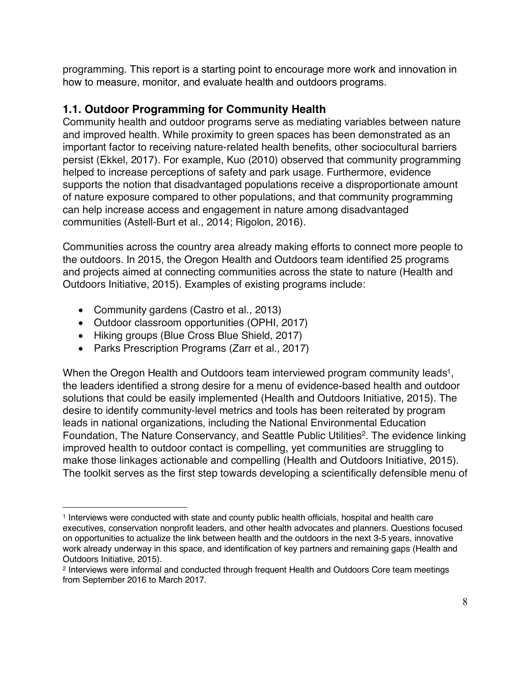programming. This report is a starting point to encourage more work and innovation in how to measure, monitor, and evaluate health and outdoors programs.

#### **1.1. Outdoor Programming for Community Health**

Community health and outdoor programs serve as mediating variables between nature and improved health. While proximity to green spaces has been demonstrated as an important factor to receiving nature-related health benefits, other sociocultural barriers persist (Ekkel, 2017). For example, Kuo (2010) observed that community programming helped to increase perceptions of safety and park usage. Furthermore, evidence supports the notion that disadvantaged populations receive a disproportionate amount of nature exposure compared to other populations, and that community programming can help increase access and engagement in nature among disadvantaged communities (Astell-Burt et al., 2014; Rigolon, 2016).

Communities across the country area already making efforts to connect more people to the outdoors. In 2015, the Oregon Health and Outdoors team identified 25 programs and projects aimed at connecting communities across the state to nature (Health and Outdoors Initiative, 2015). Examples of existing programs include:

• Community gardens (Castro et al., 2013)

 $\overline{a}$ 

- Outdoor classroom opportunities (OPHI, 2017)
- Hiking groups (Blue Cross Blue Shield, 2017)
- Parks Prescription Programs (Zarr et al., 2017)

When the Oregon Health and Outdoors team interviewed program community leads<sup>1</sup>, the leaders identified a strong desire for a menu of evidence-based health and outdoor solutions that could be easily implemented (Health and Outdoors Initiative, 2015). The desire to identify community-level metrics and tools has been reiterated by program leads in national organizations, including the National Environmental Education Foundation, The Nature Conservancy, and Seattle Public Utilities<sup>2</sup>. The evidence linking improved health to outdoor contact is compelling, yet communities are struggling to make those linkages actionable and compelling (Health and Outdoors Initiative, 2015). The toolkit serves as the first step towards developing a scientifically defensible menu of

<sup>1</sup> Interviews were conducted with state and county public health officials, hospital and health care executives, conservation nonprofit leaders, and other health advocates and planners. Questions focused on opportunities to actualize the link between health and the outdoors in the next 3-5 years, innovative work already underway in this space, and identification of key partners and remaining gaps (Health and Outdoors Initiative, 2015).

<sup>2</sup> Interviews were informal and conducted through frequent Health and Outdoors Core team meetings from September 2016 to March 2017.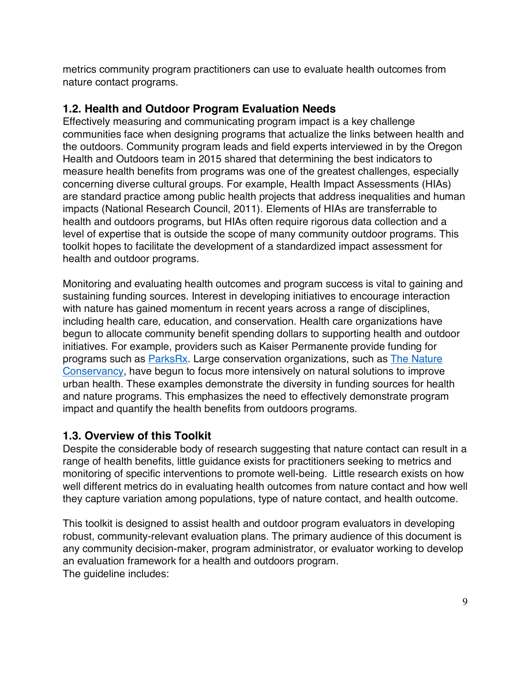metrics community program practitioners can use to evaluate health outcomes from nature contact programs.

#### **1.2. Health and Outdoor Program Evaluation Needs**

Effectively measuring and communicating program impact is a key challenge communities face when designing programs that actualize the links between health and the outdoors. Community program leads and field experts interviewed in by the Oregon Health and Outdoors team in 2015 shared that determining the best indicators to measure health benefits from programs was one of the greatest challenges, especially concerning diverse cultural groups. For example, Health Impact Assessments (HIAs) are standard practice among public health projects that address inequalities and human impacts (National Research Council, 2011). Elements of HIAs are transferrable to health and outdoors programs, but HIAs often require rigorous data collection and a level of expertise that is outside the scope of many community outdoor programs. This toolkit hopes to facilitate the development of a standardized impact assessment for health and outdoor programs.

Monitoring and evaluating health outcomes and program success is vital to gaining and sustaining funding sources. Interest in developing initiatives to encourage interaction with nature has gained momentum in recent years across a range of disciplines, including health care, education, and conservation. Health care organizations have begun to allocate community benefit spending dollars to supporting health and outdoor initiatives. For example, providers such as Kaiser Permanente provide funding for programs such as ParksRx. Large conservation organizations, such as The Nature Conservancy, have begun to focus more intensively on natural solutions to improve urban health. These examples demonstrate the diversity in funding sources for health and nature programs. This emphasizes the need to effectively demonstrate program impact and quantify the health benefits from outdoors programs.

#### **1.3. Overview of this Toolkit**

Despite the considerable body of research suggesting that nature contact can result in a range of health benefits, little guidance exists for practitioners seeking to metrics and monitoring of specific interventions to promote well-being. Little research exists on how well different metrics do in evaluating health outcomes from nature contact and how well they capture variation among populations, type of nature contact, and health outcome.

This toolkit is designed to assist health and outdoor program evaluators in developing robust, community-relevant evaluation plans. The primary audience of this document is any community decision-maker, program administrator, or evaluator working to develop an evaluation framework for a health and outdoors program. The quideline includes: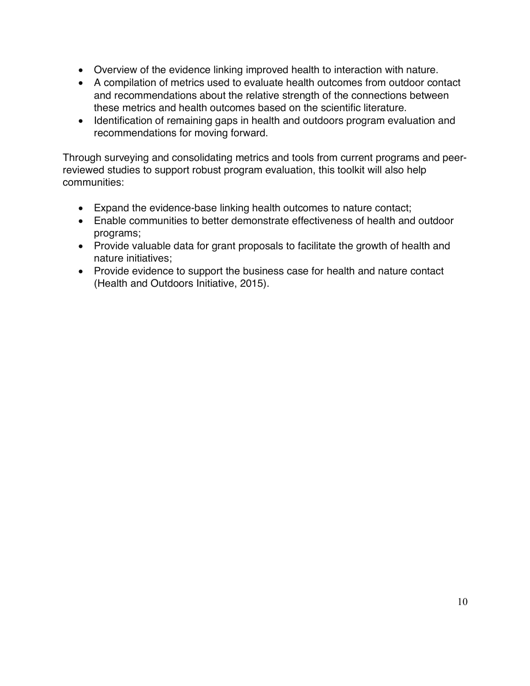- Overview of the evidence linking improved health to interaction with nature.
- A compilation of metrics used to evaluate health outcomes from outdoor contact and recommendations about the relative strength of the connections between these metrics and health outcomes based on the scientific literature.
- Identification of remaining gaps in health and outdoors program evaluation and recommendations for moving forward.

Through surveying and consolidating metrics and tools from current programs and peerreviewed studies to support robust program evaluation, this toolkit will also help communities:

- Expand the evidence-base linking health outcomes to nature contact;
- Enable communities to better demonstrate effectiveness of health and outdoor programs;
- Provide valuable data for grant proposals to facilitate the growth of health and nature initiatives;
- Provide evidence to support the business case for health and nature contact (Health and Outdoors Initiative, 2015).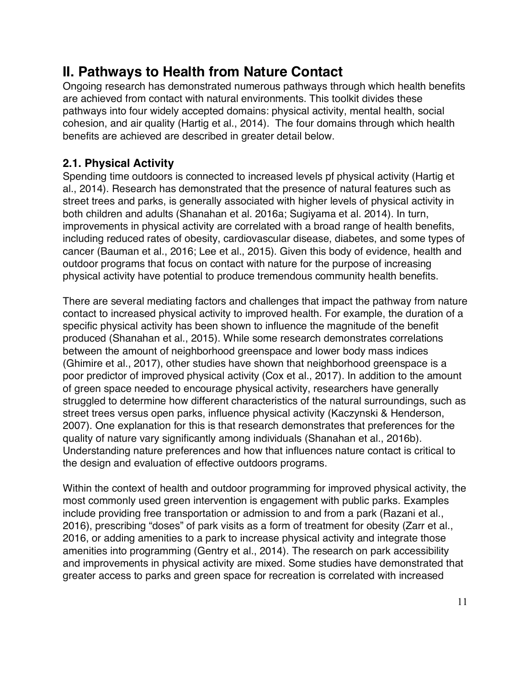## **II. Pathways to Health from Nature Contact**

Ongoing research has demonstrated numerous pathways through which health benefits are achieved from contact with natural environments. This toolkit divides these pathways into four widely accepted domains: physical activity, mental health, social cohesion, and air quality (Hartig et al., 2014). The four domains through which health benefits are achieved are described in greater detail below.

#### **2.1. Physical Activity**

Spending time outdoors is connected to increased levels pf physical activity (Hartig et al., 2014). Research has demonstrated that the presence of natural features such as street trees and parks, is generally associated with higher levels of physical activity in both children and adults (Shanahan et al. 2016a; Sugiyama et al. 2014). In turn, improvements in physical activity are correlated with a broad range of health benefits, including reduced rates of obesity, cardiovascular disease, diabetes, and some types of cancer (Bauman et al., 2016; Lee et al., 2015). Given this body of evidence, health and outdoor programs that focus on contact with nature for the purpose of increasing physical activity have potential to produce tremendous community health benefits.

There are several mediating factors and challenges that impact the pathway from nature contact to increased physical activity to improved health. For example, the duration of a specific physical activity has been shown to influence the magnitude of the benefit produced (Shanahan et al., 2015). While some research demonstrates correlations between the amount of neighborhood greenspace and lower body mass indices (Ghimire et al., 2017), other studies have shown that neighborhood greenspace is a poor predictor of improved physical activity (Cox et al., 2017). In addition to the amount of green space needed to encourage physical activity, researchers have generally struggled to determine how different characteristics of the natural surroundings, such as street trees versus open parks, influence physical activity (Kaczynski & Henderson, 2007). One explanation for this is that research demonstrates that preferences for the quality of nature vary significantly among individuals (Shanahan et al., 2016b). Understanding nature preferences and how that influences nature contact is critical to the design and evaluation of effective outdoors programs.

Within the context of health and outdoor programming for improved physical activity, the most commonly used green intervention is engagement with public parks. Examples include providing free transportation or admission to and from a park (Razani et al., 2016), prescribing "doses" of park visits as a form of treatment for obesity (Zarr et al., 2016, or adding amenities to a park to increase physical activity and integrate those amenities into programming (Gentry et al., 2014). The research on park accessibility and improvements in physical activity are mixed. Some studies have demonstrated that greater access to parks and green space for recreation is correlated with increased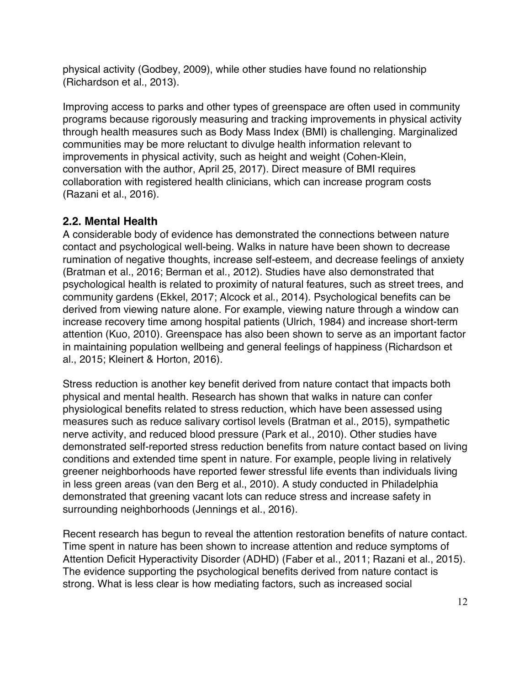physical activity (Godbey, 2009), while other studies have found no relationship (Richardson et al., 2013).

Improving access to parks and other types of greenspace are often used in community programs because rigorously measuring and tracking improvements in physical activity through health measures such as Body Mass Index (BMI) is challenging. Marginalized communities may be more reluctant to divulge health information relevant to improvements in physical activity, such as height and weight (Cohen-Klein, conversation with the author, April 25, 2017). Direct measure of BMI requires collaboration with registered health clinicians, which can increase program costs (Razani et al., 2016).

#### **2.2. Mental Health**

A considerable body of evidence has demonstrated the connections between nature contact and psychological well-being. Walks in nature have been shown to decrease rumination of negative thoughts, increase self-esteem, and decrease feelings of anxiety (Bratman et al., 2016; Berman et al., 2012). Studies have also demonstrated that psychological health is related to proximity of natural features, such as street trees, and community gardens (Ekkel, 2017; Alcock et al., 2014). Psychological benefits can be derived from viewing nature alone. For example, viewing nature through a window can increase recovery time among hospital patients (Ulrich, 1984) and increase short-term attention (Kuo, 2010). Greenspace has also been shown to serve as an important factor in maintaining population wellbeing and general feelings of happiness (Richardson et al., 2015; Kleinert & Horton, 2016).

Stress reduction is another key benefit derived from nature contact that impacts both physical and mental health. Research has shown that walks in nature can confer physiological benefits related to stress reduction, which have been assessed using measures such as reduce salivary cortisol levels (Bratman et al., 2015), sympathetic nerve activity, and reduced blood pressure (Park et al., 2010). Other studies have demonstrated self-reported stress reduction benefits from nature contact based on living conditions and extended time spent in nature. For example, people living in relatively greener neighborhoods have reported fewer stressful life events than individuals living in less green areas (van den Berg et al., 2010). A study conducted in Philadelphia demonstrated that greening vacant lots can reduce stress and increase safety in surrounding neighborhoods (Jennings et al., 2016).

Recent research has begun to reveal the attention restoration benefits of nature contact. Time spent in nature has been shown to increase attention and reduce symptoms of Attention Deficit Hyperactivity Disorder (ADHD) (Faber et al., 2011; Razani et al., 2015). The evidence supporting the psychological benefits derived from nature contact is strong. What is less clear is how mediating factors, such as increased social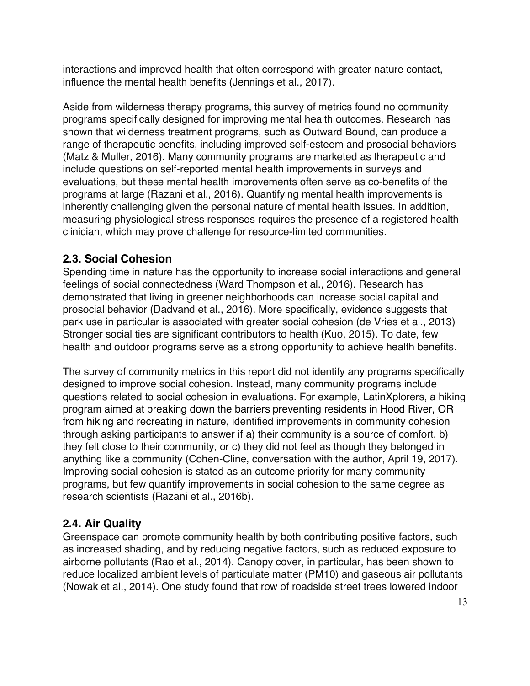interactions and improved health that often correspond with greater nature contact, influence the mental health benefits (Jennings et al., 2017).

Aside from wilderness therapy programs, this survey of metrics found no community programs specifically designed for improving mental health outcomes. Research has shown that wilderness treatment programs, such as Outward Bound, can produce a range of therapeutic benefits, including improved self-esteem and prosocial behaviors (Matz & Muller, 2016). Many community programs are marketed as therapeutic and include questions on self-reported mental health improvements in surveys and evaluations, but these mental health improvements often serve as co-benefits of the programs at large (Razani et al., 2016). Quantifying mental health improvements is inherently challenging given the personal nature of mental health issues. In addition, measuring physiological stress responses requires the presence of a registered health clinician, which may prove challenge for resource-limited communities.

#### **2.3. Social Cohesion**

Spending time in nature has the opportunity to increase social interactions and general feelings of social connectedness (Ward Thompson et al., 2016). Research has demonstrated that living in greener neighborhoods can increase social capital and prosocial behavior (Dadvand et al., 2016). More specifically, evidence suggests that park use in particular is associated with greater social cohesion (de Vries et al., 2013) Stronger social ties are significant contributors to health (Kuo, 2015). To date, few health and outdoor programs serve as a strong opportunity to achieve health benefits.

The survey of community metrics in this report did not identify any programs specifically designed to improve social cohesion. Instead, many community programs include questions related to social cohesion in evaluations. For example, LatinXplorers, a hiking program aimed at breaking down the barriers preventing residents in Hood River, OR from hiking and recreating in nature, identified improvements in community cohesion through asking participants to answer if a) their community is a source of comfort, b) they felt close to their community, or c) they did not feel as though they belonged in anything like a community (Cohen-Cline, conversation with the author, April 19, 2017). Improving social cohesion is stated as an outcome priority for many community programs, but few quantify improvements in social cohesion to the same degree as research scientists (Razani et al., 2016b).

#### **2.4. Air Quality**

Greenspace can promote community health by both contributing positive factors, such as increased shading, and by reducing negative factors, such as reduced exposure to airborne pollutants (Rao et al., 2014). Canopy cover, in particular, has been shown to reduce localized ambient levels of particulate matter (PM10) and gaseous air pollutants (Nowak et al., 2014). One study found that row of roadside street trees lowered indoor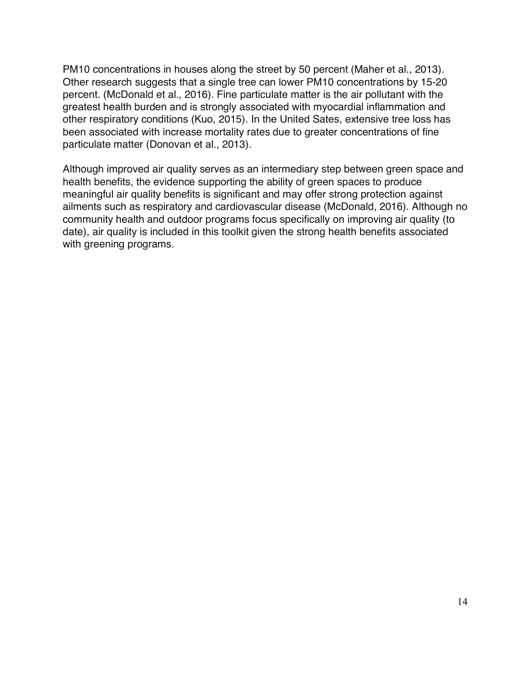PM10 concentrations in houses along the street by 50 percent (Maher et al., 2013). Other research suggests that a single tree can lower PM10 concentrations by 15-20 percent. (McDonald et al., 2016). Fine particulate matter is the air pollutant with the greatest health burden and is strongly associated with myocardial inflammation and other respiratory conditions (Kuo, 2015). In the United Sates, extensive tree loss has been associated with increase mortality rates due to greater concentrations of fine particulate matter (Donovan et al., 2013).

Although improved air quality serves as an intermediary step between green space and health benefits, the evidence supporting the ability of green spaces to produce meaningful air quality benefits is significant and may offer strong protection against ailments such as respiratory and cardiovascular disease (McDonald, 2016). Although no community health and outdoor programs focus specifically on improving air quality (to date), air quality is included in this toolkit given the strong health benefits associated with greening programs.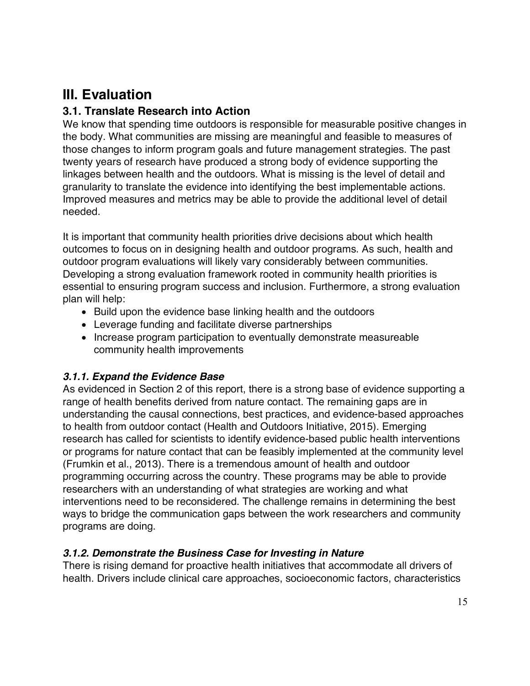## **III. Evaluation**

#### **3.1. Translate Research into Action**

We know that spending time outdoors is responsible for measurable positive changes in the body. What communities are missing are meaningful and feasible to measures of those changes to inform program goals and future management strategies. The past twenty years of research have produced a strong body of evidence supporting the linkages between health and the outdoors. What is missing is the level of detail and granularity to translate the evidence into identifying the best implementable actions. Improved measures and metrics may be able to provide the additional level of detail needed.

It is important that community health priorities drive decisions about which health outcomes to focus on in designing health and outdoor programs. As such, health and outdoor program evaluations will likely vary considerably between communities. Developing a strong evaluation framework rooted in community health priorities is essential to ensuring program success and inclusion. Furthermore, a strong evaluation plan will help:

- Build upon the evidence base linking health and the outdoors
- Leverage funding and facilitate diverse partnerships
- Increase program participation to eventually demonstrate measureable community health improvements

#### *3.1.1. Expand the Evidence Base*

As evidenced in Section 2 of this report, there is a strong base of evidence supporting a range of health benefits derived from nature contact. The remaining gaps are in understanding the causal connections, best practices, and evidence-based approaches to health from outdoor contact (Health and Outdoors Initiative, 2015). Emerging research has called for scientists to identify evidence-based public health interventions or programs for nature contact that can be feasibly implemented at the community level (Frumkin et al., 2013). There is a tremendous amount of health and outdoor programming occurring across the country. These programs may be able to provide researchers with an understanding of what strategies are working and what interventions need to be reconsidered. The challenge remains in determining the best ways to bridge the communication gaps between the work researchers and community programs are doing.

#### *3.1.2. Demonstrate the Business Case for Investing in Nature*

There is rising demand for proactive health initiatives that accommodate all drivers of health. Drivers include clinical care approaches, socioeconomic factors, characteristics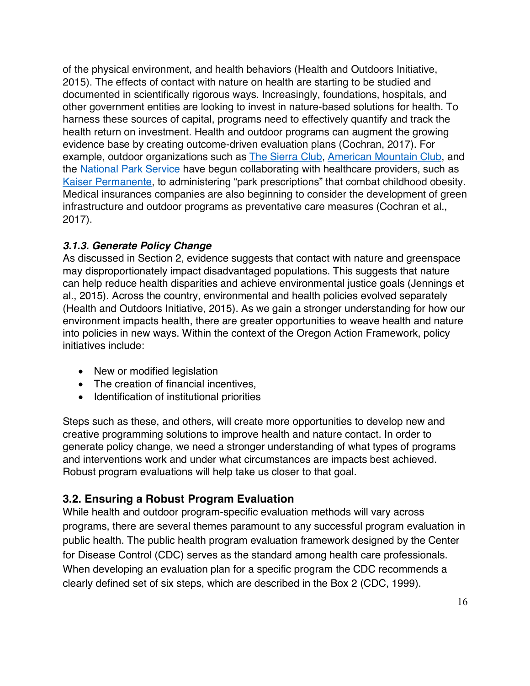of the physical environment, and health behaviors (Health and Outdoors Initiative, 2015). The effects of contact with nature on health are starting to be studied and documented in scientifically rigorous ways. Increasingly, foundations, hospitals, and other government entities are looking to invest in nature-based solutions for health. To harness these sources of capital, programs need to effectively quantify and track the health return on investment. Health and outdoor programs can augment the growing evidence base by creating outcome-driven evaluation plans (Cochran, 2017). For example, outdoor organizations such as The Sierra Club, American Mountain Club, and the National Park Service have begun collaborating with healthcare providers, such as Kaiser Permanente, to administering "park prescriptions" that combat childhood obesity. Medical insurances companies are also beginning to consider the development of green infrastructure and outdoor programs as preventative care measures (Cochran et al., 2017).

#### *3.1.3. Generate Policy Change*

As discussed in Section 2, evidence suggests that contact with nature and greenspace may disproportionately impact disadvantaged populations. This suggests that nature can help reduce health disparities and achieve environmental justice goals (Jennings et al., 2015). Across the country, environmental and health policies evolved separately (Health and Outdoors Initiative, 2015). As we gain a stronger understanding for how our environment impacts health, there are greater opportunities to weave health and nature into policies in new ways. Within the context of the Oregon Action Framework, policy initiatives include:

- New or modified legislation
- The creation of financial incentives,
- Identification of institutional priorities

Steps such as these, and others, will create more opportunities to develop new and creative programming solutions to improve health and nature contact. In order to generate policy change, we need a stronger understanding of what types of programs and interventions work and under what circumstances are impacts best achieved. Robust program evaluations will help take us closer to that goal.

#### **3.2. Ensuring a Robust Program Evaluation**

While health and outdoor program-specific evaluation methods will vary across programs, there are several themes paramount to any successful program evaluation in public health. The public health program evaluation framework designed by the Center for Disease Control (CDC) serves as the standard among health care professionals. When developing an evaluation plan for a specific program the CDC recommends a clearly defined set of six steps, which are described in the Box 2 (CDC, 1999).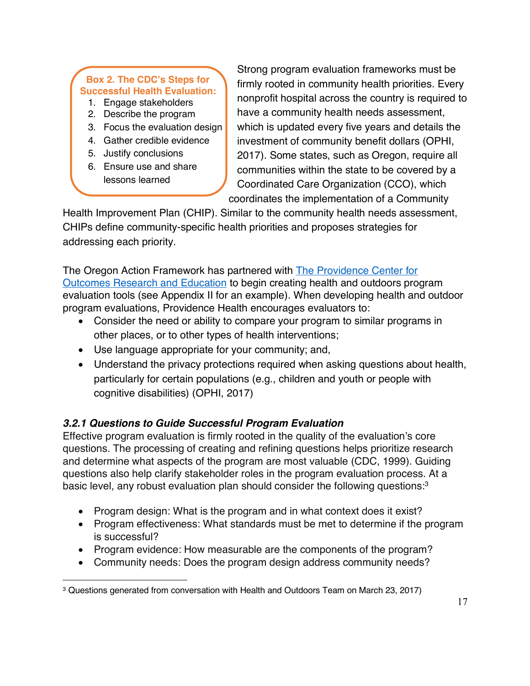#### **Box 2. The CDC's Steps for Successful Health Evaluation:**

- 1. Engage stakeholders
- 2. Describe the program
- 3. Focus the evaluation design
- 4. Gather credible evidence
- 5. Justify conclusions

."

6. Ensure use and share lessons learned

Strong program evaluation frameworks must be firmly rooted in community health priorities. Every nonprofit hospital across the country is required to have a community health needs assessment, which is updated every five years and details the investment of community benefit dollars (OPHI, 2017). Some states, such as Oregon, require all communities within the state to be covered by a Coordinated Care Organization (CCO), which coordinates the implementation of a Community

Health Improvement Plan (CHIP). Similar to the community health needs assessment, CHIPs define community-specific health priorities and proposes strategies for addressing each priority.

The Oregon Action Framework has partnered with The Providence Center for Outcomes Research and Education to begin creating health and outdoors program evaluation tools (see Appendix II for an example). When developing health and outdoor program evaluations, Providence Health encourages evaluators to:

- Consider the need or ability to compare your program to similar programs in other places, or to other types of health interventions;
- Use language appropriate for your community; and,
- Understand the privacy protections required when asking questions about health, particularly for certain populations (e.g., children and youth or people with cognitive disabilities) (OPHI, 2017)

#### *3.2.1 Questions to Guide Successful Program Evaluation*

Effective program evaluation is firmly rooted in the quality of the evaluation's core questions. The processing of creating and refining questions helps prioritize research and determine what aspects of the program are most valuable (CDC, 1999). Guiding questions also help clarify stakeholder roles in the program evaluation process. At a basic level, any robust evaluation plan should consider the following questions:3

- Program design: What is the program and in what context does it exist?
- Program effectiveness: What standards must be met to determine if the program is successful?
- Program evidence: How measurable are the components of the program?
- Community needs: Does the program design address community needs?

 $\overline{a}$ <sup>3</sup> Questions generated from conversation with Health and Outdoors Team on March 23, 2017)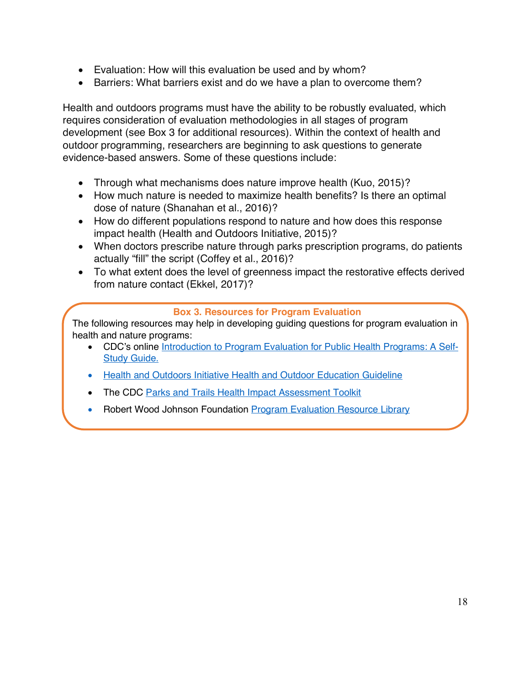- Evaluation: How will this evaluation be used and by whom?
- Barriers: What barriers exist and do we have a plan to overcome them?

Health and outdoors programs must have the ability to be robustly evaluated, which requires consideration of evaluation methodologies in all stages of program development (see Box 3 for additional resources). Within the context of health and outdoor programming, researchers are beginning to ask questions to generate evidence-based answers. Some of these questions include:

- Through what mechanisms does nature improve health (Kuo, 2015)?
- How much nature is needed to maximize health benefits? Is there an optimal dose of nature (Shanahan et al., 2016)?
- How do different populations respond to nature and how does this response impact health (Health and Outdoors Initiative, 2015)?
- When doctors prescribe nature through parks prescription programs, do patients actually "fill" the script (Coffey et al., 2016)?
- To what extent does the level of greenness impact the restorative effects derived from nature contact (Ekkel, 2017)?

#### **Box 3. Resources for Program Evaluation**

The following resources may help in developing guiding questions for program evaluation in health and nature programs:

- CDC's online Introduction to Program Evaluation for Public Health Programs: A Self-Study Guide.
- Health and Outdoors Initiative Health and Outdoor Education Guideline
- The CDC Parks and Trails Health Impact Assessment Toolkit
- Robert Wood Johnson Foundation Program Evaluation Resource Library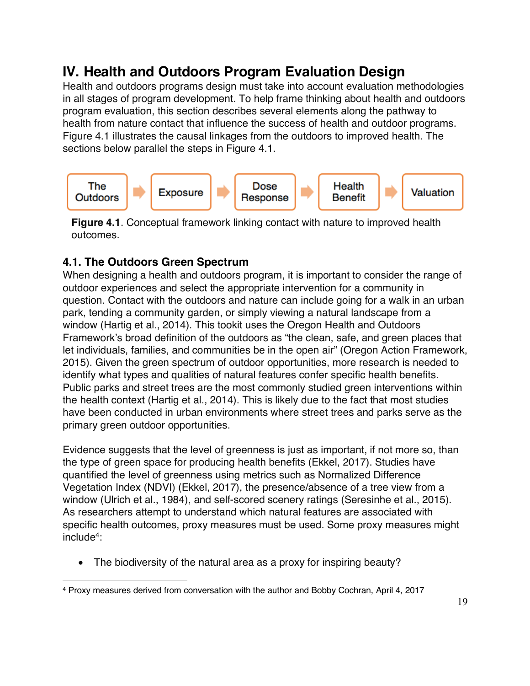## **IV. Health and Outdoors Program Evaluation Design**

Health and outdoors programs design must take into account evaluation methodologies in all stages of program development. To help frame thinking about health and outdoors program evaluation, this section describes several elements along the pathway to health from nature contact that influence the success of health and outdoor programs. Figure 4.1 illustrates the causal linkages from the outdoors to improved health. The sections below parallel the steps in Figure 4.1.



**Figure 4.1**. Conceptual framework linking contact with nature to improved health outcomes.

### **4.1. The Outdoors Green Spectrum**

When designing a health and outdoors program, it is important to consider the range of outdoor experiences and select the appropriate intervention for a community in question. Contact with the outdoors and nature can include going for a walk in an urban park, tending a community garden, or simply viewing a natural landscape from a window (Hartig et al., 2014). This tookit uses the Oregon Health and Outdoors Framework's broad definition of the outdoors as "the clean, safe, and green places that let individuals, families, and communities be in the open air" (Oregon Action Framework, 2015). Given the green spectrum of outdoor opportunities, more research is needed to identify what types and qualities of natural features confer specific health benefits. Public parks and street trees are the most commonly studied green interventions within the health context (Hartig et al., 2014). This is likely due to the fact that most studies have been conducted in urban environments where street trees and parks serve as the primary green outdoor opportunities.

Evidence suggests that the level of greenness is just as important, if not more so, than the type of green space for producing health benefits (Ekkel, 2017). Studies have quantified the level of greenness using metrics such as Normalized Difference Vegetation Index (NDVI) (Ekkel, 2017), the presence/absence of a tree view from a window (Ulrich et al., 1984), and self-scored scenery ratings (Seresinhe et al., 2015). As researchers attempt to understand which natural features are associated with specific health outcomes, proxy measures must be used. Some proxy measures might include4:

The biodiversity of the natural area as a proxy for inspiring beauty?

 $\overline{a}$ <sup>4</sup> Proxy measures derived from conversation with the author and Bobby Cochran, April 4, 2017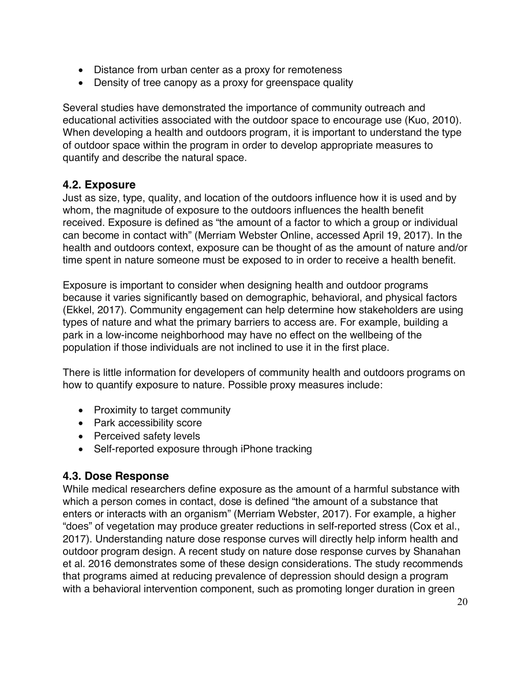- Distance from urban center as a proxy for remoteness
- Density of tree canopy as a proxy for greenspace quality

Several studies have demonstrated the importance of community outreach and educational activities associated with the outdoor space to encourage use (Kuo, 2010). When developing a health and outdoors program, it is important to understand the type of outdoor space within the program in order to develop appropriate measures to quantify and describe the natural space.

#### **4.2. Exposure**

Just as size, type, quality, and location of the outdoors influence how it is used and by whom, the magnitude of exposure to the outdoors influences the health benefit received. Exposure is defined as "the amount of a factor to which a group or individual can become in contact with" (Merriam Webster Online, accessed April 19, 2017). In the health and outdoors context, exposure can be thought of as the amount of nature and/or time spent in nature someone must be exposed to in order to receive a health benefit.

Exposure is important to consider when designing health and outdoor programs because it varies significantly based on demographic, behavioral, and physical factors (Ekkel, 2017). Community engagement can help determine how stakeholders are using types of nature and what the primary barriers to access are. For example, building a park in a low-income neighborhood may have no effect on the wellbeing of the population if those individuals are not inclined to use it in the first place.

There is little information for developers of community health and outdoors programs on how to quantify exposure to nature. Possible proxy measures include:

- Proximity to target community
- Park accessibility score
- Perceived safety levels
- Self-reported exposure through iPhone tracking

#### **4.3. Dose Response**

While medical researchers define exposure as the amount of a harmful substance with which a person comes in contact, dose is defined "the amount of a substance that enters or interacts with an organism" (Merriam Webster, 2017). For example, a higher "does" of vegetation may produce greater reductions in self-reported stress (Cox et al., 2017). Understanding nature dose response curves will directly help inform health and outdoor program design. A recent study on nature dose response curves by Shanahan et al. 2016 demonstrates some of these design considerations. The study recommends that programs aimed at reducing prevalence of depression should design a program with a behavioral intervention component, such as promoting longer duration in green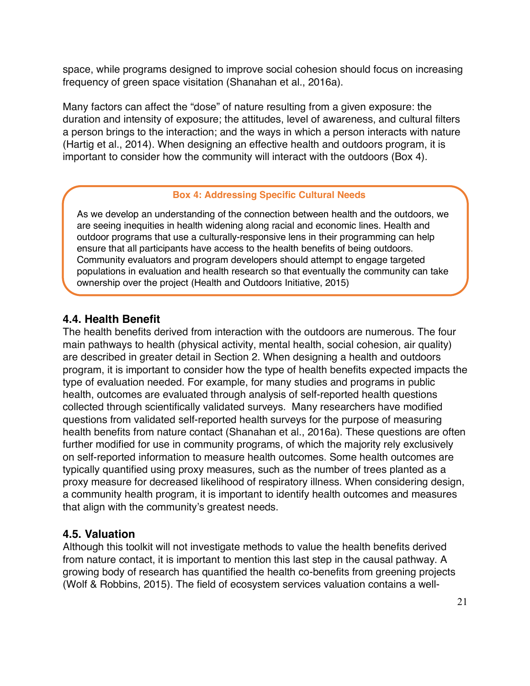space, while programs designed to improve social cohesion should focus on increasing frequency of green space visitation (Shanahan et al., 2016a).

Many factors can affect the "dose" of nature resulting from a given exposure: the duration and intensity of exposure; the attitudes, level of awareness, and cultural filters a person brings to the interaction; and the ways in which a person interacts with nature (Hartig et al., 2014). When designing an effective health and outdoors program, it is important to consider how the community will interact with the outdoors (Box 4).

#### **Box 4: Addressing Specific Cultural Needs**

As we develop an understanding of the connection between health and the outdoors, we are seeing inequities in health widening along racial and economic lines. Health and outdoor programs that use a culturally-responsive lens in their programming can help ensure that all participants have access to the health benefits of being outdoors. Community evaluators and program developers should attempt to engage targeted populations in evaluation and health research so that eventually the community can take ownership over the project (Health and Outdoors Initiative, 2015)

#### **4.4. Health Benefit**

The health benefits derived from interaction with the outdoors are numerous. The four main pathways to health (physical activity, mental health, social cohesion, air quality) are described in greater detail in Section 2. When designing a health and outdoors program, it is important to consider how the type of health benefits expected impacts the type of evaluation needed. For example, for many studies and programs in public health, outcomes are evaluated through analysis of self-reported health questions collected through scientifically validated surveys. Many researchers have modified questions from validated self-reported health surveys for the purpose of measuring health benefits from nature contact (Shanahan et al., 2016a). These questions are often further modified for use in community programs, of which the majority rely exclusively on self-reported information to measure health outcomes. Some health outcomes are typically quantified using proxy measures, such as the number of trees planted as a proxy measure for decreased likelihood of respiratory illness. When considering design, a community health program, it is important to identify health outcomes and measures that align with the community's greatest needs.

#### **4.5. Valuation**

Although this toolkit will not investigate methods to value the health benefits derived from nature contact, it is important to mention this last step in the causal pathway. A growing body of research has quantified the health co-benefits from greening projects (Wolf & Robbins, 2015). The field of ecosystem services valuation contains a well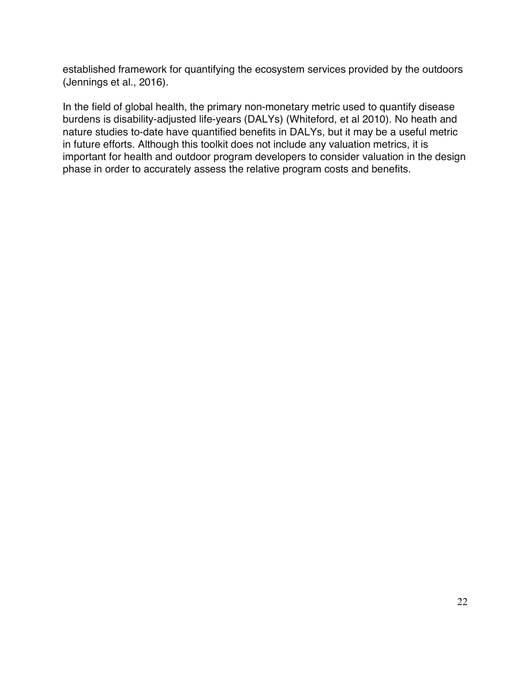established framework for quantifying the ecosystem services provided by the outdoors (Jennings et al., 2016).

In the field of global health, the primary non-monetary metric used to quantify disease burdens is disability-adjusted life-years (DALYs) (Whiteford, et al 2010). No heath and nature studies to-date have quantified benefits in DALYs, but it may be a useful metric in future efforts. Although this toolkit does not include any valuation metrics, it is important for health and outdoor program developers to consider valuation in the design phase in order to accurately assess the relative program costs and benefits.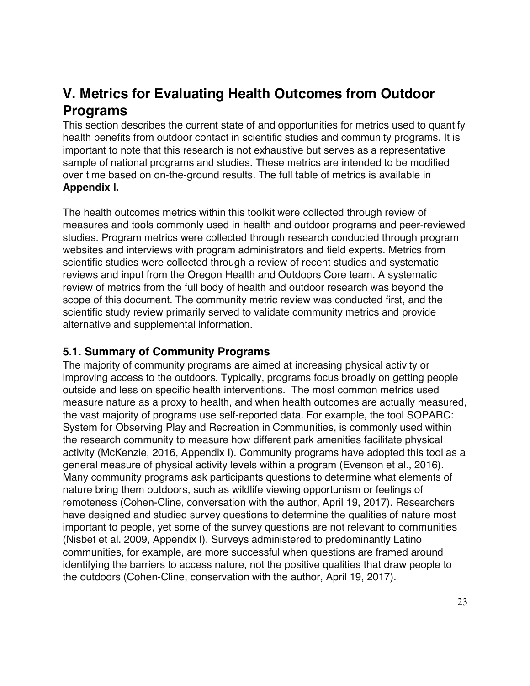## **V. Metrics for Evaluating Health Outcomes from Outdoor Programs**

This section describes the current state of and opportunities for metrics used to quantify health benefits from outdoor contact in scientific studies and community programs. It is important to note that this research is not exhaustive but serves as a representative sample of national programs and studies. These metrics are intended to be modified over time based on on-the-ground results. The full table of metrics is available in **Appendix I.**

The health outcomes metrics within this toolkit were collected through review of measures and tools commonly used in health and outdoor programs and peer-reviewed studies. Program metrics were collected through research conducted through program websites and interviews with program administrators and field experts. Metrics from scientific studies were collected through a review of recent studies and systematic reviews and input from the Oregon Health and Outdoors Core team. A systematic review of metrics from the full body of health and outdoor research was beyond the scope of this document. The community metric review was conducted first, and the scientific study review primarily served to validate community metrics and provide alternative and supplemental information.

#### **5.1. Summary of Community Programs**

The majority of community programs are aimed at increasing physical activity or improving access to the outdoors. Typically, programs focus broadly on getting people outside and less on specific health interventions. The most common metrics used measure nature as a proxy to health, and when health outcomes are actually measured, the vast majority of programs use self-reported data. For example, the tool SOPARC: System for Observing Play and Recreation in Communities, is commonly used within the research community to measure how different park amenities facilitate physical activity (McKenzie, 2016, Appendix I). Community programs have adopted this tool as a general measure of physical activity levels within a program (Evenson et al., 2016). Many community programs ask participants questions to determine what elements of nature bring them outdoors, such as wildlife viewing opportunism or feelings of remoteness (Cohen-Cline, conversation with the author, April 19, 2017). Researchers have designed and studied survey questions to determine the qualities of nature most important to people, yet some of the survey questions are not relevant to communities (Nisbet et al. 2009, Appendix I). Surveys administered to predominantly Latino communities, for example, are more successful when questions are framed around identifying the barriers to access nature, not the positive qualities that draw people to the outdoors (Cohen-Cline, conservation with the author, April 19, 2017).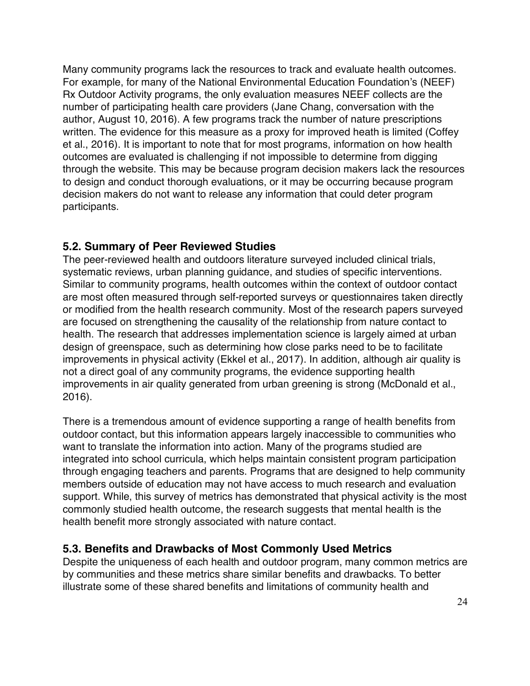Many community programs lack the resources to track and evaluate health outcomes. For example, for many of the National Environmental Education Foundation's (NEEF) Rx Outdoor Activity programs, the only evaluation measures NEEF collects are the number of participating health care providers (Jane Chang, conversation with the author, August 10, 2016). A few programs track the number of nature prescriptions written. The evidence for this measure as a proxy for improved heath is limited (Coffey et al., 2016). It is important to note that for most programs, information on how health outcomes are evaluated is challenging if not impossible to determine from digging through the website. This may be because program decision makers lack the resources to design and conduct thorough evaluations, or it may be occurring because program decision makers do not want to release any information that could deter program participants.

#### **5.2. Summary of Peer Reviewed Studies**

The peer-reviewed health and outdoors literature surveyed included clinical trials, systematic reviews, urban planning guidance, and studies of specific interventions. Similar to community programs, health outcomes within the context of outdoor contact are most often measured through self-reported surveys or questionnaires taken directly or modified from the health research community. Most of the research papers surveyed are focused on strengthening the causality of the relationship from nature contact to health. The research that addresses implementation science is largely aimed at urban design of greenspace, such as determining how close parks need to be to facilitate improvements in physical activity (Ekkel et al., 2017). In addition, although air quality is not a direct goal of any community programs, the evidence supporting health improvements in air quality generated from urban greening is strong (McDonald et al., 2016).

There is a tremendous amount of evidence supporting a range of health benefits from outdoor contact, but this information appears largely inaccessible to communities who want to translate the information into action. Many of the programs studied are integrated into school curricula, which helps maintain consistent program participation through engaging teachers and parents. Programs that are designed to help community members outside of education may not have access to much research and evaluation support. While, this survey of metrics has demonstrated that physical activity is the most commonly studied health outcome, the research suggests that mental health is the health benefit more strongly associated with nature contact.

#### **5.3. Benefits and Drawbacks of Most Commonly Used Metrics**

Despite the uniqueness of each health and outdoor program, many common metrics are by communities and these metrics share similar benefits and drawbacks. To better illustrate some of these shared benefits and limitations of community health and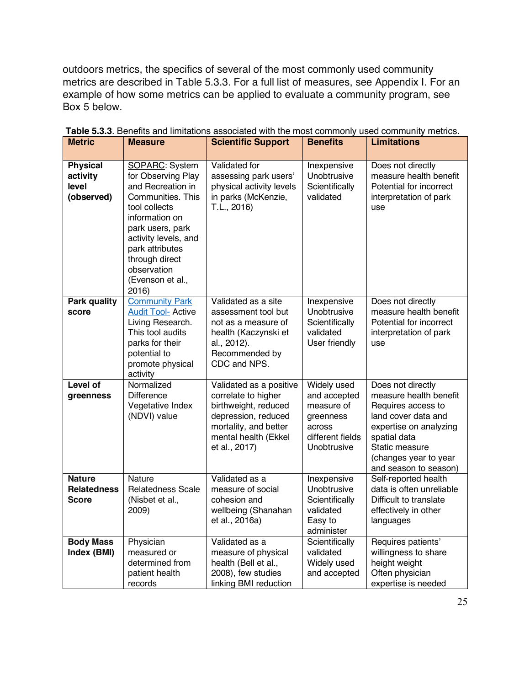outdoors metrics, the specifics of several of the most commonly used community metrics are described in Table 5.3.3. For a full list of measures, see Appendix I. For an example of how some metrics can be applied to evaluate a community program, see Box 5 below.

| <b>Metric</b>                                       | <b>Measure</b>                                                                                                                                                                                                                                 | <b>Scientific Support</b>                                                                                                                                       | <b>Benefits</b>                                                                                     | <b>Limitations</b>                                                                                                                                                                                     |
|-----------------------------------------------------|------------------------------------------------------------------------------------------------------------------------------------------------------------------------------------------------------------------------------------------------|-----------------------------------------------------------------------------------------------------------------------------------------------------------------|-----------------------------------------------------------------------------------------------------|--------------------------------------------------------------------------------------------------------------------------------------------------------------------------------------------------------|
| <b>Physical</b><br>activity<br>level<br>(observed)  | SOPARC: System<br>for Observing Play<br>and Recreation in<br>Communities. This<br>tool collects<br>information on<br>park users, park<br>activity levels, and<br>park attributes<br>through direct<br>observation<br>(Evenson et al.,<br>2016) | Validated for<br>assessing park users'<br>physical activity levels<br>in parks (McKenzie,<br>T.L., 2016)                                                        | Inexpensive<br>Unobtrusive<br>Scientifically<br>validated                                           | Does not directly<br>measure health benefit<br>Potential for incorrect<br>interpretation of park<br>use                                                                                                |
| <b>Park quality</b><br>score                        | <b>Community Park</b><br><b>Audit Tool- Active</b><br>Living Research.<br>This tool audits<br>parks for their<br>potential to<br>promote physical<br>activity                                                                                  | Validated as a site<br>assessment tool but<br>not as a measure of<br>health (Kaczynski et<br>al., 2012).<br>Recommended by<br>CDC and NPS.                      | Inexpensive<br>Unobtrusive<br>Scientifically<br>validated<br>User friendly                          | Does not directly<br>measure health benefit<br>Potential for incorrect<br>interpretation of park<br>use                                                                                                |
| Level of<br>greenness                               | Normalized<br><b>Difference</b><br>Vegetative Index<br>(NDVI) value                                                                                                                                                                            | Validated as a positive<br>correlate to higher<br>birthweight, reduced<br>depression, reduced<br>mortality, and better<br>mental health (Ekkel<br>et al., 2017) | Widely used<br>and accepted<br>measure of<br>greenness<br>across<br>different fields<br>Unobtrusive | Does not directly<br>measure health benefit<br>Requires access to<br>land cover data and<br>expertise on analyzing<br>spatial data<br>Static measure<br>(changes year to year<br>and season to season) |
| <b>Nature</b><br><b>Relatedness</b><br><b>Score</b> | <b>Nature</b><br><b>Relatedness Scale</b><br>(Nisbet et al.,<br>2009)                                                                                                                                                                          | Validated as a<br>measure of social<br>cohesion and<br>wellbeing (Shanahan<br>et al., 2016a)                                                                    | Inexpensive<br>Unobtrusive<br>Scientifically<br>validated<br>Easy to<br>administer                  | Self-reported health<br>data is often unreliable<br>Difficult to translate<br>effectively in other<br>languages                                                                                        |
| <b>Body Mass</b><br>Index (BMI)                     | Physician<br>measured or<br>determined from<br>patient health<br>records                                                                                                                                                                       | Validated as a<br>measure of physical<br>health (Bell et al.,<br>2008), few studies<br>linking BMI reduction                                                    | Scientifically<br>validated<br>Widely used<br>and accepted                                          | Requires patients'<br>willingness to share<br>height weight<br>Often physician<br>expertise is needed                                                                                                  |

**Table 5.3.3**. Benefits and limitations associated with the most commonly used community metrics.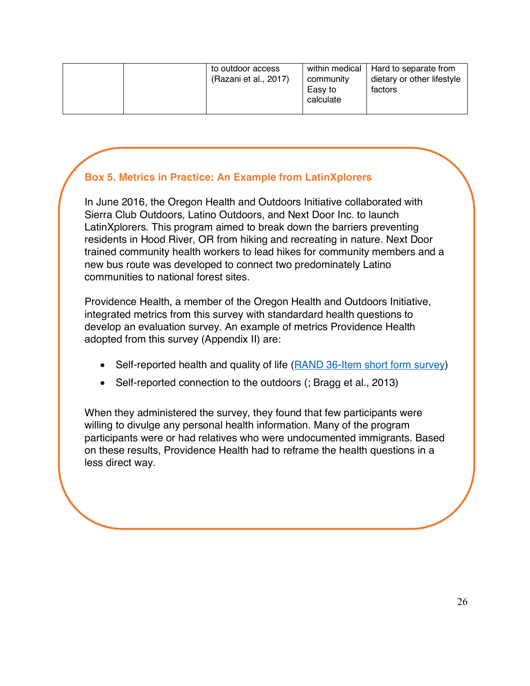| to outdoor access<br>(Razani et al., 2017) | within medical   Hard to separate from<br>dietary or other lifestyle<br>community<br>Easy to<br>factors<br>calculate |
|--------------------------------------------|----------------------------------------------------------------------------------------------------------------------|
|--------------------------------------------|----------------------------------------------------------------------------------------------------------------------|

#### **Box 5. Metrics in Practice: An Example from LatinXplorers**

In June 2016, the Oregon Health and Outdoors Initiative collaborated with Sierra Club Outdoors, Latino Outdoors, and Next Door Inc. to launch LatinXplorers. This program aimed to break down the barriers preventing residents in Hood River, OR from hiking and recreating in nature. Next Door trained community health workers to lead hikes for community members and a new bus route was developed to connect two predominately Latino communities to national forest sites.

Providence Health, a member of the Oregon Health and Outdoors Initiative, integrated metrics from this survey with standardard health questions to develop an evaluation survey. An example of metrics Providence Health adopted from this survey (Appendix II) are:

- Self-reported health and quality of life (RAND 36-Item short form survey)
- Self-reported connection to the outdoors (; Bragg et al., 2013)

When they administered the survey, they found that few participants were willing to divulge any personal health information. Many of the program participants were or had relatives who were undocumented immigrants. Based on these results, Providence Health had to reframe the health questions in a less direct way.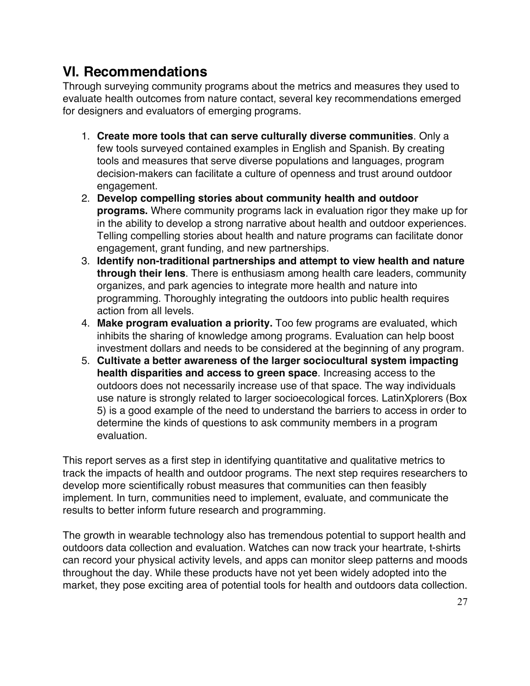## **VI. Recommendations**

Through surveying community programs about the metrics and measures they used to evaluate health outcomes from nature contact, several key recommendations emerged for designers and evaluators of emerging programs.

- 1. **Create more tools that can serve culturally diverse communities**. Only a few tools surveyed contained examples in English and Spanish. By creating tools and measures that serve diverse populations and languages, program decision-makers can facilitate a culture of openness and trust around outdoor engagement.
- 2. **Develop compelling stories about community health and outdoor programs.** Where community programs lack in evaluation rigor they make up for in the ability to develop a strong narrative about health and outdoor experiences. Telling compelling stories about health and nature programs can facilitate donor engagement, grant funding, and new partnerships.
- 3. **Identify non-traditional partnerships and attempt to view health and nature through their lens**. There is enthusiasm among health care leaders, community organizes, and park agencies to integrate more health and nature into programming. Thoroughly integrating the outdoors into public health requires action from all levels.
- 4. **Make program evaluation a priority.** Too few programs are evaluated, which inhibits the sharing of knowledge among programs. Evaluation can help boost investment dollars and needs to be considered at the beginning of any program.
- 5. **Cultivate a better awareness of the larger sociocultural system impacting health disparities and access to green space**. Increasing access to the outdoors does not necessarily increase use of that space. The way individuals use nature is strongly related to larger socioecological forces. LatinXplorers (Box 5) is a good example of the need to understand the barriers to access in order to determine the kinds of questions to ask community members in a program evaluation.

This report serves as a first step in identifying quantitative and qualitative metrics to track the impacts of health and outdoor programs. The next step requires researchers to develop more scientifically robust measures that communities can then feasibly implement. In turn, communities need to implement, evaluate, and communicate the results to better inform future research and programming.

The growth in wearable technology also has tremendous potential to support health and outdoors data collection and evaluation. Watches can now track your heartrate, t-shirts can record your physical activity levels, and apps can monitor sleep patterns and moods throughout the day. While these products have not yet been widely adopted into the market, they pose exciting area of potential tools for health and outdoors data collection.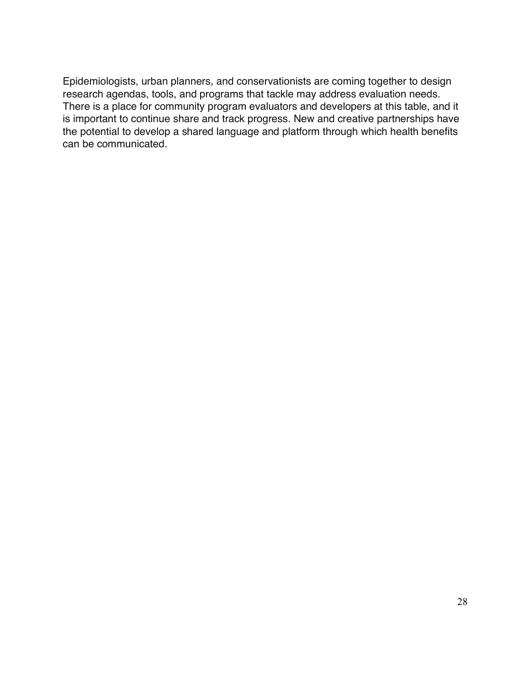Epidemiologists, urban planners, and conservationists are coming together to design research agendas, tools, and programs that tackle may address evaluation needs. There is a place for community program evaluators and developers at this table, and it is important to continue share and track progress. New and creative partnerships have the potential to develop a shared language and platform through which health benefits can be communicated.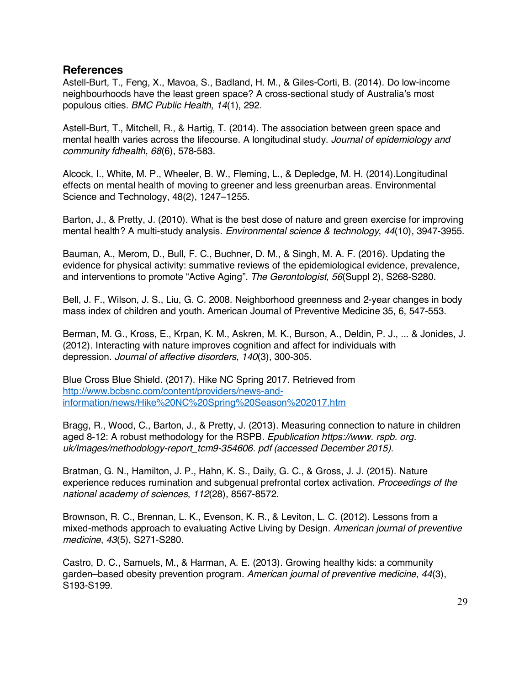#### **References**

Astell-Burt, T., Feng, X., Mavoa, S., Badland, H. M., & Giles-Corti, B. (2014). Do low-income neighbourhoods have the least green space? A cross-sectional study of Australia's most populous cities. *BMC Public Health*, *14*(1), 292.

Astell-Burt, T., Mitchell, R., & Hartig, T. (2014). The association between green space and mental health varies across the lifecourse. A longitudinal study. *Journal of epidemiology and community fdhealth*, *68*(6), 578-583.

Alcock, I., White, M. P., Wheeler, B. W., Fleming, L., & Depledge, M. H. (2014).Longitudinal effects on mental health of moving to greener and less greenurban areas. Environmental Science and Technology, 48(2), 1247–1255.

Barton, J., & Pretty, J. (2010). What is the best dose of nature and green exercise for improving mental health? A multi-study analysis. *Environmental science & technology*, *44*(10), 3947-3955.

Bauman, A., Merom, D., Bull, F. C., Buchner, D. M., & Singh, M. A. F. (2016). Updating the evidence for physical activity: summative reviews of the epidemiological evidence, prevalence, and interventions to promote "Active Aging". *The Gerontologist*, *56*(Suppl 2), S268-S280.

Bell, J. F., Wilson, J. S., Liu, G. C. 2008. Neighborhood greenness and 2-year changes in body mass index of children and youth. American Journal of Preventive Medicine 35, 6, 547-553.

Berman, M. G., Kross, E., Krpan, K. M., Askren, M. K., Burson, A., Deldin, P. J., ... & Jonides, J. (2012). Interacting with nature improves cognition and affect for individuals with depression. *Journal of affective disorders*, *140*(3), 300-305.

Blue Cross Blue Shield. (2017). Hike NC Spring 2017. Retrieved from http://www.bcbsnc.com/content/providers/news-andinformation/news/Hike%20NC%20Spring%20Season%202017.htm

Bragg, R., Wood, C., Barton, J., & Pretty, J. (2013). Measuring connection to nature in children aged 8-12: A robust methodology for the RSPB. *Epublication https://www. rspb. org. uk/Images/methodology-report\_tcm9-354606. pdf (accessed December 2015)*.

Bratman, G. N., Hamilton, J. P., Hahn, K. S., Daily, G. C., & Gross, J. J. (2015). Nature experience reduces rumination and subgenual prefrontal cortex activation. *Proceedings of the national academy of sciences*, *112*(28), 8567-8572.

Brownson, R. C., Brennan, L. K., Evenson, K. R., & Leviton, L. C. (2012). Lessons from a mixed-methods approach to evaluating Active Living by Design. *American journal of preventive medicine*, *43*(5), S271-S280.

Castro, D. C., Samuels, M., & Harman, A. E. (2013). Growing healthy kids: a community garden–based obesity prevention program. *American journal of preventive medicine*, *44*(3), S193-S199.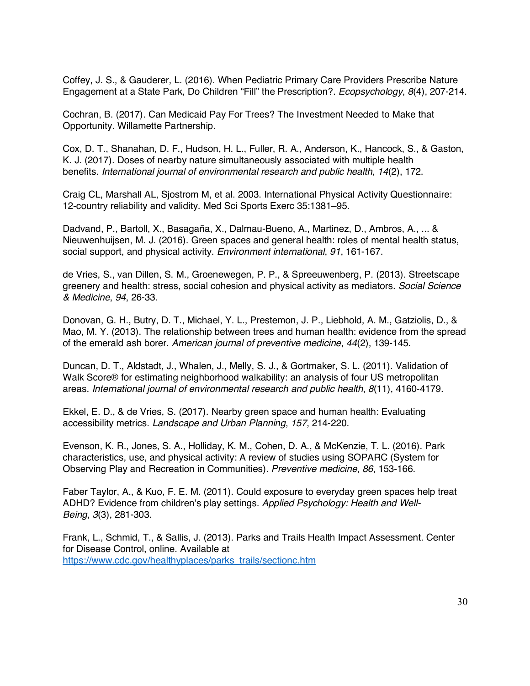Coffey, J. S., & Gauderer, L. (2016). When Pediatric Primary Care Providers Prescribe Nature Engagement at a State Park, Do Children "Fill" the Prescription?. *Ecopsychology*, *8*(4), 207-214.

Cochran, B. (2017). Can Medicaid Pay For Trees? The Investment Needed to Make that Opportunity. Willamette Partnership.

Cox, D. T., Shanahan, D. F., Hudson, H. L., Fuller, R. A., Anderson, K., Hancock, S., & Gaston, K. J. (2017). Doses of nearby nature simultaneously associated with multiple health benefits. *International journal of environmental research and public health*, *14*(2), 172.

Craig CL, Marshall AL, Sjostrom M, et al. 2003. International Physical Activity Questionnaire: 12-country reliability and validity. Med Sci Sports Exerc 35:1381–95.

Dadvand, P., Bartoll, X., Basagaña, X., Dalmau-Bueno, A., Martinez, D., Ambros, A., ... & Nieuwenhuijsen, M. J. (2016). Green spaces and general health: roles of mental health status, social support, and physical activity. *Environment international*, *91*, 161-167.

de Vries, S., van Dillen, S. M., Groenewegen, P. P., & Spreeuwenberg, P. (2013). Streetscape greenery and health: stress, social cohesion and physical activity as mediators. *Social Science & Medicine*, *94*, 26-33.

Donovan, G. H., Butry, D. T., Michael, Y. L., Prestemon, J. P., Liebhold, A. M., Gatziolis, D., & Mao, M. Y. (2013). The relationship between trees and human health: evidence from the spread of the emerald ash borer. *American journal of preventive medicine*, *44*(2), 139-145.

Duncan, D. T., Aldstadt, J., Whalen, J., Melly, S. J., & Gortmaker, S. L. (2011). Validation of Walk Score<sup>®</sup> for estimating neighborhood walkability: an analysis of four US metropolitan areas. *International journal of environmental research and public health*, *8*(11), 4160-4179.

Ekkel, E. D., & de Vries, S. (2017). Nearby green space and human health: Evaluating accessibility metrics. *Landscape and Urban Planning*, *157*, 214-220.

Evenson, K. R., Jones, S. A., Holliday, K. M., Cohen, D. A., & McKenzie, T. L. (2016). Park characteristics, use, and physical activity: A review of studies using SOPARC (System for Observing Play and Recreation in Communities). *Preventive medicine*, *86*, 153-166.

Faber Taylor, A., & Kuo, F. E. M. (2011). Could exposure to everyday green spaces help treat ADHD? Evidence from children's play settings. *Applied Psychology: Health and Well*‐ *Being*, *3*(3), 281-303.

Frank, L., Schmid, T., & Sallis, J. (2013). Parks and Trails Health Impact Assessment. Center for Disease Control, online. Available at https://www.cdc.gov/healthyplaces/parks\_trails/sectionc.htm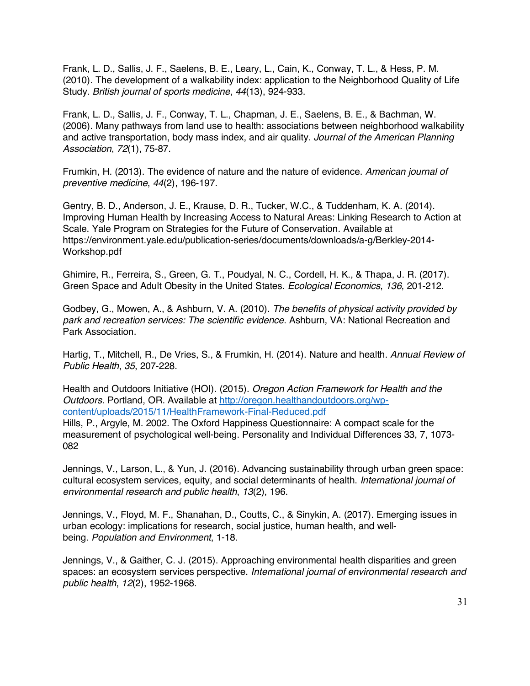Frank, L. D., Sallis, J. F., Saelens, B. E., Leary, L., Cain, K., Conway, T. L., & Hess, P. M. (2010). The development of a walkability index: application to the Neighborhood Quality of Life Study. *British journal of sports medicine*, *44*(13), 924-933.

Frank, L. D., Sallis, J. F., Conway, T. L., Chapman, J. E., Saelens, B. E., & Bachman, W. (2006). Many pathways from land use to health: associations between neighborhood walkability and active transportation, body mass index, and air quality. *Journal of the American Planning Association*, *72*(1), 75-87.

Frumkin, H. (2013). The evidence of nature and the nature of evidence. *American journal of preventive medicine*, *44*(2), 196-197.

Gentry, B. D., Anderson, J. E., Krause, D. R., Tucker, W.C., & Tuddenham, K. A. (2014). Improving Human Health by Increasing Access to Natural Areas: Linking Research to Action at Scale. Yale Program on Strategies for the Future of Conservation. Available at https://environment.yale.edu/publication-series/documents/downloads/a-g/Berkley-2014- Workshop.pdf

Ghimire, R., Ferreira, S., Green, G. T., Poudyal, N. C., Cordell, H. K., & Thapa, J. R. (2017). Green Space and Adult Obesity in the United States. *Ecological Economics*, *136*, 201-212.

Godbey, G., Mowen, A., & Ashburn, V. A. (2010). *The benefits of physical activity provided by park and recreation services: The scientific evidence*. Ashburn, VA: National Recreation and Park Association.

Hartig, T., Mitchell, R., De Vries, S., & Frumkin, H. (2014). Nature and health. *Annual Review of Public Health*, *35*, 207-228.

Health and Outdoors Initiative (HOI). (2015). *Oregon Action Framework for Health and the Outdoors*. Portland, OR. Available at http://oregon.healthandoutdoors.org/wpcontent/uploads/2015/11/HealthFramework-Final-Reduced.pdf

Hills, P., Argyle, M. 2002. The Oxford Happiness Questionnaire: A compact scale for the measurement of psychological well-being. Personality and Individual Differences 33, 7, 1073- 082

Jennings, V., Larson, L., & Yun, J. (2016). Advancing sustainability through urban green space: cultural ecosystem services, equity, and social determinants of health. *International journal of environmental research and public health*, *13*(2), 196.

Jennings, V., Floyd, M. F., Shanahan, D., Coutts, C., & Sinykin, A. (2017). Emerging issues in urban ecology: implications for research, social justice, human health, and wellbeing. *Population and Environment*, 1-18.

Jennings, V., & Gaither, C. J. (2015). Approaching environmental health disparities and green spaces: an ecosystem services perspective. *International journal of environmental research and public health*, *12*(2), 1952-1968.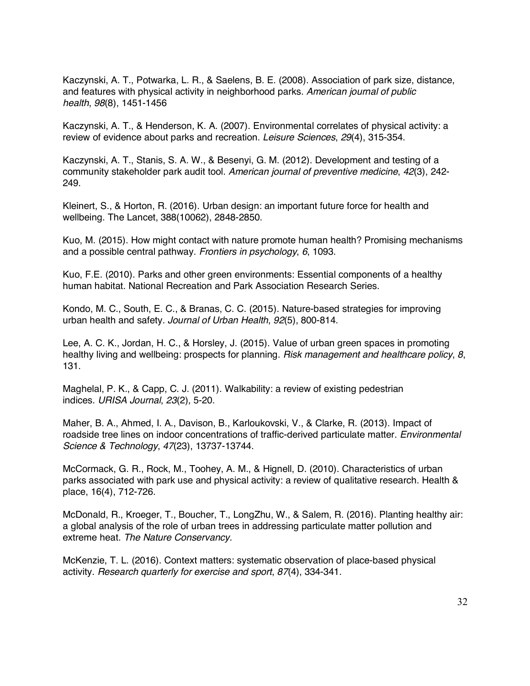Kaczynski, A. T., Potwarka, L. R., & Saelens, B. E. (2008). Association of park size, distance, and features with physical activity in neighborhood parks. *American journal of public health*, *98*(8), 1451-1456

Kaczynski, A. T., & Henderson, K. A. (2007). Environmental correlates of physical activity: a review of evidence about parks and recreation. *Leisure Sciences*, *29*(4), 315-354.

Kaczynski, A. T., Stanis, S. A. W., & Besenyi, G. M. (2012). Development and testing of a community stakeholder park audit tool. *American journal of preventive medicine*, *42*(3), 242- 249.

Kleinert, S., & Horton, R. (2016). Urban design: an important future force for health and wellbeing. The Lancet, 388(10062), 2848-2850.

Kuo, M. (2015). How might contact with nature promote human health? Promising mechanisms and a possible central pathway. *Frontiers in psychology*, *6*, 1093.

Kuo, F.E. (2010). Parks and other green environments: Essential components of a healthy human habitat. National Recreation and Park Association Research Series.

Kondo, M. C., South, E. C., & Branas, C. C. (2015). Nature-based strategies for improving urban health and safety. *Journal of Urban Health*, *92*(5), 800-814.

Lee, A. C. K., Jordan, H. C., & Horsley, J. (2015). Value of urban green spaces in promoting healthy living and wellbeing: prospects for planning. *Risk management and healthcare policy*, *8*, 131.

Maghelal, P. K., & Capp, C. J. (2011). Walkability: a review of existing pedestrian indices. *URISA Journal*, *23*(2), 5-20.

Maher, B. A., Ahmed, I. A., Davison, B., Karloukovski, V., & Clarke, R. (2013). Impact of roadside tree lines on indoor concentrations of traffic-derived particulate matter. *Environmental Science & Technology*, *47*(23), 13737-13744.

McCormack, G. R., Rock, M., Toohey, A. M., & Hignell, D. (2010). Characteristics of urban parks associated with park use and physical activity: a review of qualitative research. Health & place, 16(4), 712-726.

McDonald, R., Kroeger, T., Boucher, T., LongZhu, W., & Salem, R. (2016). Planting healthy air: a global analysis of the role of urban trees in addressing particulate matter pollution and extreme heat. *The Nature Conservancy.* 

McKenzie, T. L. (2016). Context matters: systematic observation of place-based physical activity. *Research quarterly for exercise and sport*, *87*(4), 334-341.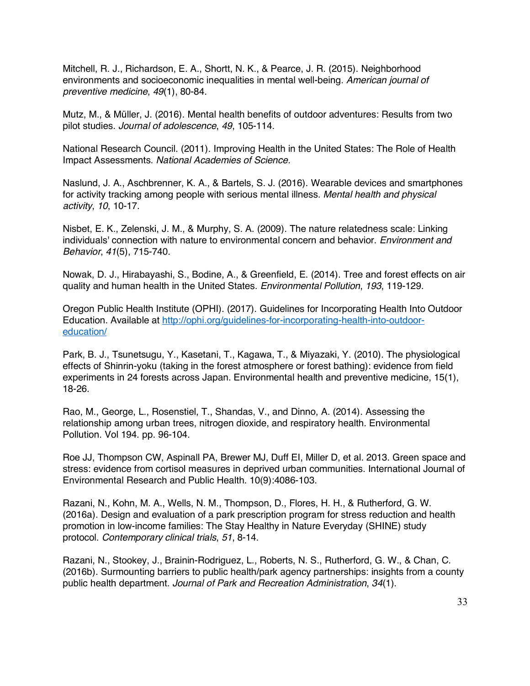Mitchell, R. J., Richardson, E. A., Shortt, N. K., & Pearce, J. R. (2015). Neighborhood environments and socioeconomic inequalities in mental well-being. *American journal of preventive medicine*, *49*(1), 80-84.

Mutz, M., & Müller, J. (2016). Mental health benefits of outdoor adventures: Results from two pilot studies. *Journal of adolescence*, *49*, 105-114.

National Research Council. (2011). Improving Health in the United States: The Role of Health Impact Assessments. *National Academies of Science.*

Naslund, J. A., Aschbrenner, K. A., & Bartels, S. J. (2016). Wearable devices and smartphones for activity tracking among people with serious mental illness. *Mental health and physical activity*, *10*, 10-17.

Nisbet, E. K., Zelenski, J. M., & Murphy, S. A. (2009). The nature relatedness scale: Linking individuals' connection with nature to environmental concern and behavior. *Environment and Behavior*, *41*(5), 715-740.

Nowak, D. J., Hirabayashi, S., Bodine, A., & Greenfield, E. (2014). Tree and forest effects on air quality and human health in the United States. *Environmental Pollution*, *193*, 119-129.

Oregon Public Health Institute (OPHI). (2017). Guidelines for Incorporating Health Into Outdoor Education. Available at http://ophi.org/guidelines-for-incorporating-health-into-outdooreducation/

Park, B. J., Tsunetsugu, Y., Kasetani, T., Kagawa, T., & Miyazaki, Y. (2010). The physiological effects of Shinrin-yoku (taking in the forest atmosphere or forest bathing): evidence from field experiments in 24 forests across Japan. Environmental health and preventive medicine, 15(1), 18-26.

Rao, M., George, L., Rosenstiel, T., Shandas, V., and Dinno, A. (2014). Assessing the relationship among urban trees, nitrogen dioxide, and respiratory health. Environmental Pollution. Vol 194. pp. 96-104.

Roe JJ, Thompson CW, Aspinall PA, Brewer MJ, Duff EI, Miller D, et al. 2013. Green space and stress: evidence from cortisol measures in deprived urban communities. International Journal of Environmental Research and Public Health. 10(9):4086-103.

Razani, N., Kohn, M. A., Wells, N. M., Thompson, D., Flores, H. H., & Rutherford, G. W. (2016a). Design and evaluation of a park prescription program for stress reduction and health promotion in low-income families: The Stay Healthy in Nature Everyday (SHINE) study protocol. *Contemporary clinical trials*, *51*, 8-14.

Razani, N., Stookey, J., Brainin-Rodriguez, L., Roberts, N. S., Rutherford, G. W., & Chan, C. (2016b). Surmounting barriers to public health/park agency partnerships: insights from a county public health department. *Journal of Park and Recreation Administration*, *34*(1).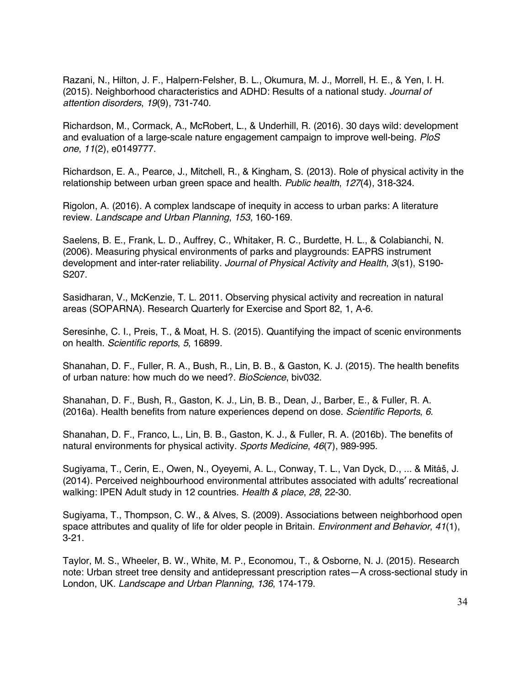Razani, N., Hilton, J. F., Halpern-Felsher, B. L., Okumura, M. J., Morrell, H. E., & Yen, I. H. (2015). Neighborhood characteristics and ADHD: Results of a national study. *Journal of attention disorders*, *19*(9), 731-740.

Richardson, M., Cormack, A., McRobert, L., & Underhill, R. (2016). 30 days wild: development and evaluation of a large-scale nature engagement campaign to improve well-being. *PloS one*, *11*(2), e0149777.

Richardson, E. A., Pearce, J., Mitchell, R., & Kingham, S. (2013). Role of physical activity in the relationship between urban green space and health. *Public health*, *127*(4), 318-324.

Rigolon, A. (2016). A complex landscape of inequity in access to urban parks: A literature review. *Landscape and Urban Planning*, *153*, 160-169.

Saelens, B. E., Frank, L. D., Auffrey, C., Whitaker, R. C., Burdette, H. L., & Colabianchi, N. (2006). Measuring physical environments of parks and playgrounds: EAPRS instrument development and inter-rater reliability. *Journal of Physical Activity and Health*, *3*(s1), S190- S207.

Sasidharan, V., McKenzie, T. L. 2011. Observing physical activity and recreation in natural areas (SOPARNA). Research Quarterly for Exercise and Sport 82, 1, A-6.

Seresinhe, C. I., Preis, T., & Moat, H. S. (2015). Quantifying the impact of scenic environments on health. *Scientific reports*, *5*, 16899.

Shanahan, D. F., Fuller, R. A., Bush, R., Lin, B. B., & Gaston, K. J. (2015). The health benefits of urban nature: how much do we need?. *BioScience*, biv032.

Shanahan, D. F., Bush, R., Gaston, K. J., Lin, B. B., Dean, J., Barber, E., & Fuller, R. A. (2016a). Health benefits from nature experiences depend on dose. *Scientific Reports*, *6*.

Shanahan, D. F., Franco, L., Lin, B. B., Gaston, K. J., & Fuller, R. A. (2016b). The benefits of natural environments for physical activity. *Sports Medicine*, *46*(7), 989-995.

Sugiyama, T., Cerin, E., Owen, N., Oyeyemi, A. L., Conway, T. L., Van Dyck, D., ... & Mitáš, J. (2014). Perceived neighbourhood environmental attributes associated with adults׳ recreational walking: IPEN Adult study in 12 countries. *Health & place*, *28*, 22-30.

Sugiyama, T., Thompson, C. W., & Alves, S. (2009). Associations between neighborhood open space attributes and quality of life for older people in Britain. *Environment and Behavior*, *41*(1), 3-21.

Taylor, M. S., Wheeler, B. W., White, M. P., Economou, T., & Osborne, N. J. (2015). Research note: Urban street tree density and antidepressant prescription rates—A cross-sectional study in London, UK. *Landscape and Urban Planning*, *136*, 174-179.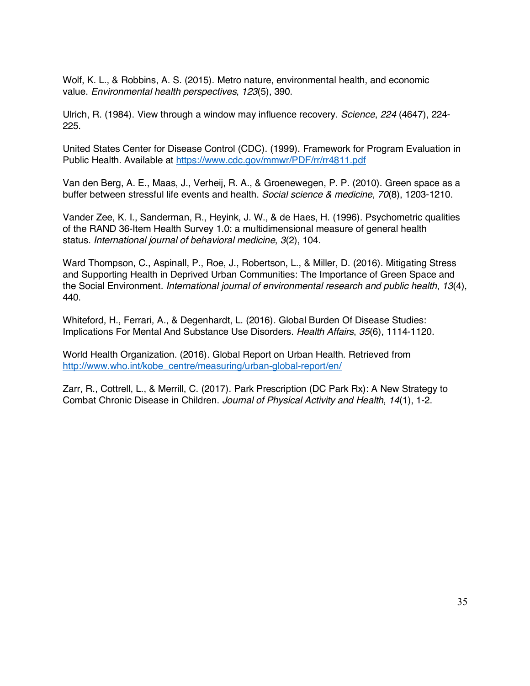Wolf, K. L., & Robbins, A. S. (2015). Metro nature, environmental health, and economic value. *Environmental health perspectives*, *123*(5), 390.

Ulrich, R. (1984). View through a window may influence recovery. *Science*, *224* (4647), 224- 225.

United States Center for Disease Control (CDC). (1999). Framework for Program Evaluation in Public Health. Available at https://www.cdc.gov/mmwr/PDF/rr/rr4811.pdf

Van den Berg, A. E., Maas, J., Verheij, R. A., & Groenewegen, P. P. (2010). Green space as a buffer between stressful life events and health. *Social science & medicine*, *70*(8), 1203-1210.

Vander Zee, K. I., Sanderman, R., Heyink, J. W., & de Haes, H. (1996). Psychometric qualities of the RAND 36-Item Health Survey 1.0: a multidimensional measure of general health status. *International journal of behavioral medicine*, *3*(2), 104.

Ward Thompson, C., Aspinall, P., Roe, J., Robertson, L., & Miller, D. (2016). Mitigating Stress and Supporting Health in Deprived Urban Communities: The Importance of Green Space and the Social Environment. *International journal of environmental research and public health*, *13*(4), 440.

Whiteford, H., Ferrari, A., & Degenhardt, L. (2016). Global Burden Of Disease Studies: Implications For Mental And Substance Use Disorders. *Health Affairs*, *35*(6), 1114-1120.

World Health Organization. (2016). Global Report on Urban Health. Retrieved from http://www.who.int/kobe\_centre/measuring/urban-global-report/en/

Zarr, R., Cottrell, L., & Merrill, C. (2017). Park Prescription (DC Park Rx): A New Strategy to Combat Chronic Disease in Children. *Journal of Physical Activity and Health*, *14*(1), 1-2.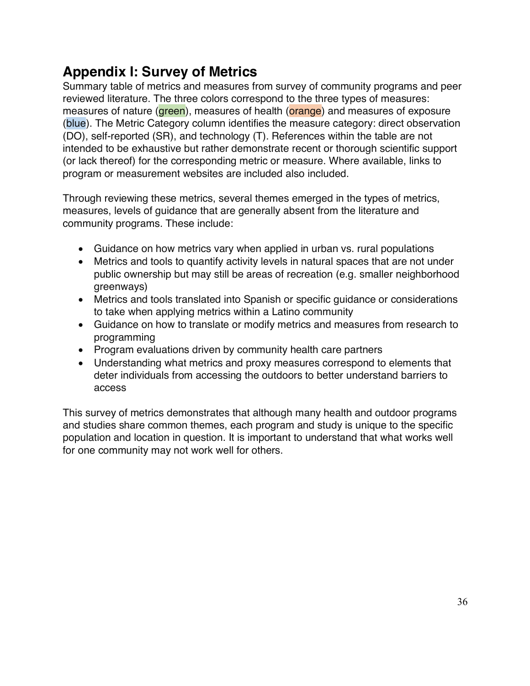## **Appendix I: Survey of Metrics**

Summary table of metrics and measures from survey of community programs and peer reviewed literature. The three colors correspond to the three types of measures: measures of nature (**green**), measures of health (**grange**) and measures of exposure (blue). The Metric Category column identifies the measure category: direct observation (DO), self-reported (SR), and technology (T). References within the table are not intended to be exhaustive but rather demonstrate recent or thorough scientific support (or lack thereof) for the corresponding metric or measure. Where available, links to program or measurement websites are included also included.

Through reviewing these metrics, several themes emerged in the types of metrics, measures, levels of guidance that are generally absent from the literature and community programs. These include:

- Guidance on how metrics vary when applied in urban vs. rural populations
- Metrics and tools to quantify activity levels in natural spaces that are not under public ownership but may still be areas of recreation (e.g. smaller neighborhood greenways)
- Metrics and tools translated into Spanish or specific guidance or considerations to take when applying metrics within a Latino community
- Guidance on how to translate or modify metrics and measures from research to programming
- Program evaluations driven by community health care partners
- Understanding what metrics and proxy measures correspond to elements that deter individuals from accessing the outdoors to better understand barriers to access

This survey of metrics demonstrates that although many health and outdoor programs and studies share common themes, each program and study is unique to the specific population and location in question. It is important to understand that what works well for one community may not work well for others.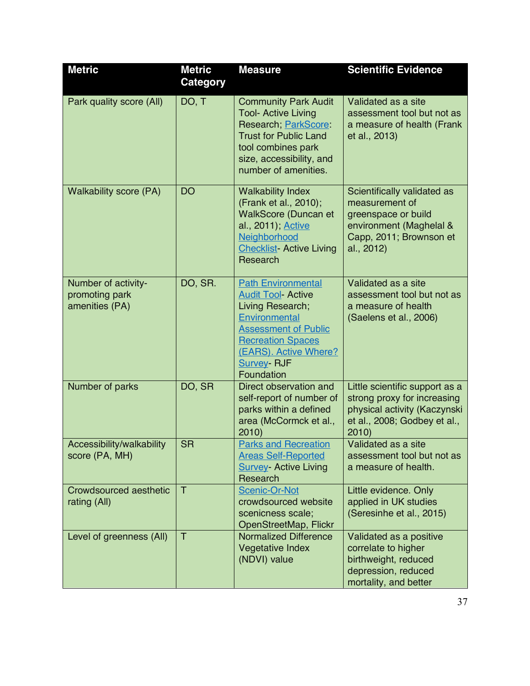| <b>Metric</b>                                           | <b>Metric</b><br>Category | <b>Measure</b>                                                                                                                                                                                                      | <b>Scientific Evidence</b>                                                                                                               |
|---------------------------------------------------------|---------------------------|---------------------------------------------------------------------------------------------------------------------------------------------------------------------------------------------------------------------|------------------------------------------------------------------------------------------------------------------------------------------|
| Park quality score (All)                                | DO, T                     | <b>Community Park Audit</b><br><b>Tool- Active Living</b><br>Research, ParkScore<br><b>Trust for Public Land</b><br>tool combines park<br>size, accessibility, and<br>number of amenities.                          | Validated as a site<br>assessment tool but not as<br>a measure of health (Frank<br>et al., 2013)                                         |
| <b>Walkability score (PA)</b>                           | <b>DO</b>                 | <b>Walkability Index</b><br>(Frank et al., 2010);<br><b>WalkScore (Duncan et</b><br>al., 2011); Active<br>Neighborhood<br><b>Checklist- Active Living</b><br>Research                                               | Scientifically validated as<br>measurement of<br>greenspace or build<br>environment (Maghelal &<br>Capp, 2011; Brownson et<br>al., 2012) |
| Number of activity-<br>promoting park<br>amenities (PA) | DO, SR.                   | <b>Path Environmental</b><br><b>Audit Tool- Active</b><br>Living Research;<br>Environmental<br><b>Assessment of Public</b><br><b>Recreation Spaces</b><br>(EARS). Active Where?<br><b>Survey- RJF</b><br>Foundation | Validated as a site<br>assessment tool but not as<br>a measure of health<br>(Saelens et al., 2006)                                       |
| Number of parks                                         | DO, SR                    | Direct observation and<br>self-report of number of<br>parks within a defined<br>area (McCormck et al.,<br>2010                                                                                                      | Little scientific support as a<br>strong proxy for increasing<br>physical activity (Kaczynski<br>et al., 2008; Godbey et al.,<br>2010    |
| Accessibility/walkability<br>score (PA, MH)             | <b>SR</b>                 | <b>Parks and Recreation</b><br><b>Areas Self-Reported</b><br><b>Survey- Active Living</b><br>Research                                                                                                               | Validated as a site<br>assessment tool but not as<br>a measure of health.                                                                |
| Crowdsourced aesthetic<br>rating (All)                  | $\top$                    | Scenic-Or-Not<br>crowdsourced website<br>scenicness scale;<br>OpenStreetMap, Flickr                                                                                                                                 | Little evidence. Only<br>applied in UK studies<br>(Seresinhe et al., 2015)                                                               |
| Level of greenness (All)                                | $\top$                    | <b>Normalized Difference</b><br><b>Vegetative Index</b><br>(NDVI) value                                                                                                                                             | Validated as a positive<br>correlate to higher<br>birthweight, reduced<br>depression, reduced<br>mortality, and better                   |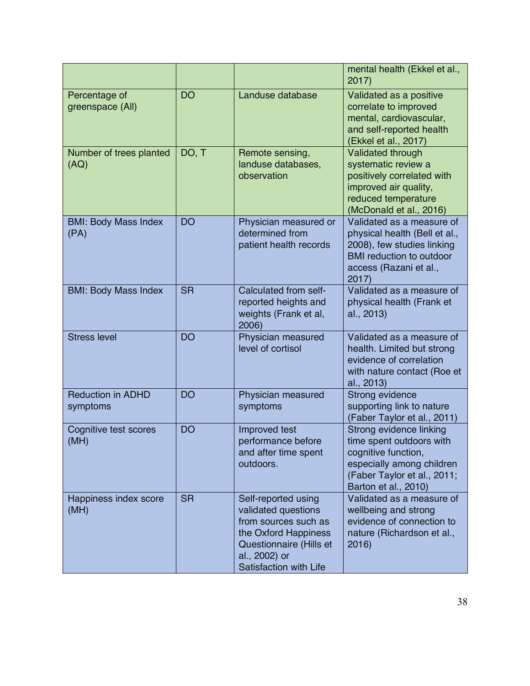|                                      |           |                                                                                                                                                                  | mental health (Ekkel et al.,<br>2017)                                                                                                                          |
|--------------------------------------|-----------|------------------------------------------------------------------------------------------------------------------------------------------------------------------|----------------------------------------------------------------------------------------------------------------------------------------------------------------|
| Percentage of<br>greenspace (All)    | <b>DO</b> | Landuse database                                                                                                                                                 | Validated as a positive<br>correlate to improved<br>mental, cardiovascular,<br>and self-reported health<br>(Ekkel et al., 2017)                                |
| Number of trees planted<br>(AQ)      | DO, T     | Remote sensing,<br>landuse databases,<br>observation                                                                                                             | Validated through<br>systematic review a<br>positively correlated with<br>improved air quality,<br>reduced temperature<br>(McDonald et al., 2016)              |
| <b>BMI: Body Mass Index</b><br>(PA)  | <b>DO</b> | Physician measured or<br>determined from<br>patient health records                                                                                               | Validated as a measure of<br>physical health (Bell et al.,<br>2008), few studies linking<br><b>BMI</b> reduction to outdoor<br>access (Razani et al.,<br>2017  |
| <b>BMI: Body Mass Index</b>          | <b>SR</b> | Calculated from self-<br>reported heights and<br>weights (Frank et al,<br>2006)                                                                                  | Validated as a measure of<br>physical health (Frank et<br>al., 2013)                                                                                           |
| <b>Stress level</b>                  | <b>DO</b> | Physician measured<br>level of cortisol                                                                                                                          | Validated as a measure of<br>health. Limited but strong<br>evidence of correlation<br>with nature contact (Roe et<br>al., 2013)                                |
| <b>Reduction in ADHD</b><br>symptoms | <b>DO</b> | Physician measured<br>symptoms                                                                                                                                   | Strong evidence<br>supporting link to nature<br>(Faber Taylor et al., 2011)                                                                                    |
| Cognitive test scores<br>(MH)        | <b>DO</b> | Improved test<br>performance before<br>and after time spent<br>outdoors.                                                                                         | Strong evidence linking<br>time spent outdoors with<br>cognitive function,<br>especially among children<br>(Faber Taylor et al., 2011;<br>Barton et al., 2010) |
| Happiness index score<br>(MH)        | <b>SR</b> | Self-reported using<br>validated questions<br>from sources such as<br>the Oxford Happiness<br>Questionnaire (Hills et<br>al., 2002) or<br>Satisfaction with Life | Validated as a measure of<br>wellbeing and strong<br>evidence of connection to<br>nature (Richardson et al.,<br>2016                                           |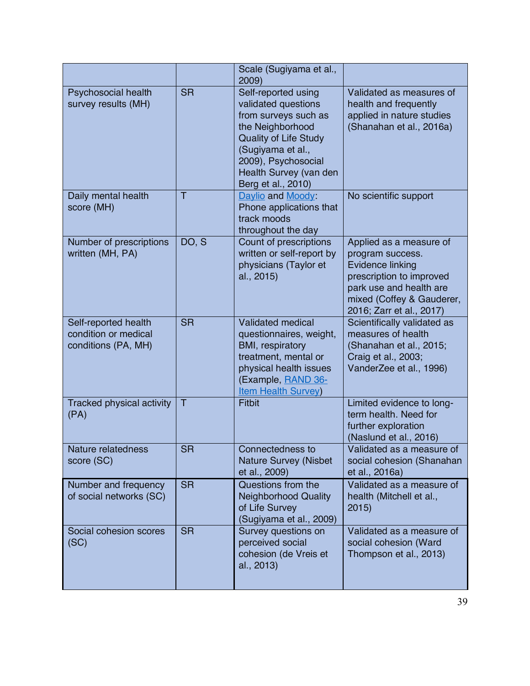|                                                                     |           | Scale (Sugiyama et al.,<br>2009)                                                                                                                                                                                   |                                                                                                                                                                                 |
|---------------------------------------------------------------------|-----------|--------------------------------------------------------------------------------------------------------------------------------------------------------------------------------------------------------------------|---------------------------------------------------------------------------------------------------------------------------------------------------------------------------------|
| Psychosocial health<br>survey results (MH)                          | <b>SR</b> | Self-reported using<br>validated questions<br>from surveys such as<br>the Neighborhood<br><b>Quality of Life Study</b><br>(Sugiyama et al.,<br>2009), Psychosocial<br>Health Survey (van den<br>Berg et al., 2010) | Validated as measures of<br>health and frequently<br>applied in nature studies<br>(Shanahan et al., 2016a)                                                                      |
| Daily mental health<br>score (MH)                                   | T         | Daylio and Moody:<br>Phone applications that<br>track moods<br>throughout the day                                                                                                                                  | No scientific support                                                                                                                                                           |
| Number of prescriptions<br>written (MH, PA)                         | DO, S     | Count of prescriptions<br>written or self-report by<br>physicians (Taylor et<br>al., 2015)                                                                                                                         | Applied as a measure of<br>program success.<br>Evidence linking<br>prescription to improved<br>park use and health are<br>mixed (Coffey & Gauderer,<br>2016; Zarr et al., 2017) |
| Self-reported health<br>condition or medical<br>conditions (PA, MH) | <b>SR</b> | <b>Validated medical</b><br>questionnaires, weight,<br>BMI, respiratory<br>treatment, mental or<br>physical health issues<br>(Example, RAND 36-<br><b>Item Health Survey)</b>                                      | Scientifically validated as<br>measures of health<br>(Shanahan et al., 2015;<br>Craig et al., 2003;<br>VanderZee et al., 1996)                                                  |
| <b>Tracked physical activity</b><br>(PA)                            | T         | <b>Fitbit</b>                                                                                                                                                                                                      | Limited evidence to long-<br>term health. Need for<br>further exploration<br>(Naslund et al., 2016)                                                                             |
| Nature relatedness<br>score (SC)                                    | <b>SR</b> | Connectedness to<br><b>Nature Survey (Nisbet</b><br>et al., 2009)                                                                                                                                                  | Validated as a measure of<br>social cohesion (Shanahan<br>et al., 2016a)                                                                                                        |
| Number and frequency<br>of social networks (SC)                     | <b>SR</b> | Questions from the<br><b>Neighborhood Quality</b><br>of Life Survey<br>(Sugiyama et al., 2009)                                                                                                                     | Validated as a measure of<br>health (Mitchell et al.,<br>2015)                                                                                                                  |
| Social cohesion scores<br>(SC)                                      | <b>SR</b> | Survey questions on<br>perceived social<br>cohesion (de Vreis et<br>al., 2013)                                                                                                                                     | Validated as a measure of<br>social cohesion (Ward<br>Thompson et al., 2013)                                                                                                    |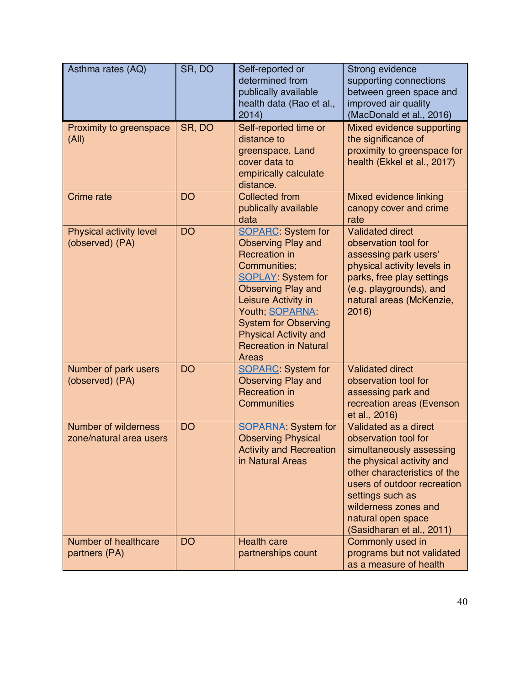| Asthma rates (AQ)                                      | SR, DO    | Self-reported or<br>determined from<br>publically available<br>health data (Rao et al.,<br>2014)                                                                                                                                                                                                                          | Strong evidence<br>supporting connections<br>between green space and<br>improved air quality<br>(MacDonald et al., 2016)                                                                                                                                             |
|--------------------------------------------------------|-----------|---------------------------------------------------------------------------------------------------------------------------------------------------------------------------------------------------------------------------------------------------------------------------------------------------------------------------|----------------------------------------------------------------------------------------------------------------------------------------------------------------------------------------------------------------------------------------------------------------------|
| Proximity to greenspace<br>(A  )                       | SR, DO    | Self-reported time or<br>distance to<br>greenspace. Land<br>cover data to<br>empirically calculate<br>distance.                                                                                                                                                                                                           | Mixed evidence supporting<br>the significance of<br>proximity to greenspace for<br>health (Ekkel et al., 2017)                                                                                                                                                       |
| Crime rate                                             | <b>DO</b> | <b>Collected from</b><br>publically available<br>data                                                                                                                                                                                                                                                                     | Mixed evidence linking<br>canopy cover and crime<br>rate                                                                                                                                                                                                             |
| Physical activity level<br>(observed) (PA)             | <b>DO</b> | <b>SOPARC:</b> System for<br><b>Observing Play and</b><br><b>Recreation in</b><br>Communities;<br><b>SOPLAY: System for</b><br><b>Observing Play and</b><br>Leisure Activity in<br>Youth; <b>SOPARNA</b> :<br><b>System for Observing</b><br><b>Physical Activity and</b><br><b>Recreation in Natural</b><br><b>Areas</b> | <b>Validated direct</b><br>observation tool for<br>assessing park users'<br>physical activity levels in<br>parks, free play settings<br>(e.g. playgrounds), and<br>natural areas (McKenzie,<br>2016                                                                  |
| Number of park users<br>(observed) (PA)                | <b>DO</b> | <b>SOPARC:</b> System for<br><b>Observing Play and</b><br><b>Recreation in</b><br><b>Communities</b>                                                                                                                                                                                                                      | <b>Validated direct</b><br>observation tool for<br>assessing park and<br>recreation areas (Evenson<br>et al., 2016)                                                                                                                                                  |
| <b>Number of wilderness</b><br>zone/natural area users | <b>DO</b> | <b>SOPARNA: System for</b><br><b>Observing Physical</b><br><b>Activity and Recreation</b><br>in Natural Areas                                                                                                                                                                                                             | Validated as a direct<br>observation tool for<br>simultaneously assessing<br>the physical activity and<br>other characteristics of the<br>users of outdoor recreation<br>settings such as<br>wilderness zones and<br>natural open space<br>(Sasidharan et al., 2011) |
| Number of healthcare<br>partners (PA)                  | <b>DO</b> | <b>Health care</b><br>partnerships count                                                                                                                                                                                                                                                                                  | Commonly used in<br>programs but not validated<br>as a measure of health                                                                                                                                                                                             |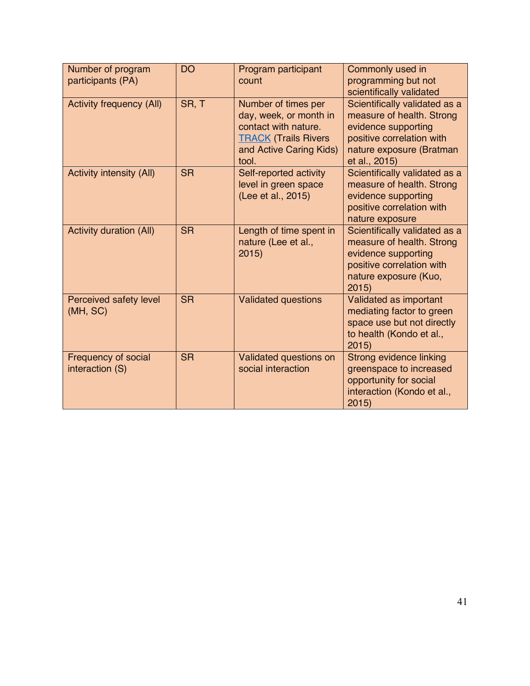| Number of program<br>participants (PA) | <b>DO</b> | Program participant<br>count                                                                                                             | Commonly used in<br>programming but not<br>scientifically validated                                                                                         |
|----------------------------------------|-----------|------------------------------------------------------------------------------------------------------------------------------------------|-------------------------------------------------------------------------------------------------------------------------------------------------------------|
| <b>Activity frequency (All)</b>        | SR, T     | Number of times per<br>day, week, or month in<br>contact with nature.<br><b>TRACK (Trails Rivers</b><br>and Active Caring Kids)<br>tool. | Scientifically validated as a<br>measure of health. Strong<br>evidence supporting<br>positive correlation with<br>nature exposure (Bratman<br>et al., 2015) |
| <b>Activity intensity (All)</b>        | <b>SR</b> | Self-reported activity<br>level in green space<br>(Lee et al., 2015)                                                                     | Scientifically validated as a<br>measure of health. Strong<br>evidence supporting<br>positive correlation with<br>nature exposure                           |
| <b>Activity duration (All)</b>         | <b>SR</b> | Length of time spent in<br>nature (Lee et al.,<br>2015                                                                                   | Scientifically validated as a<br>measure of health. Strong<br>evidence supporting<br>positive correlation with<br>nature exposure (Kuo,<br>2015             |
| Perceived safety level<br>(MH, SC)     | <b>SR</b> | <b>Validated questions</b>                                                                                                               | Validated as important<br>mediating factor to green<br>space use but not directly<br>to health (Kondo et al.,<br>2015                                       |
| Frequency of social<br>interaction (S) | <b>SR</b> | Validated questions on<br>social interaction                                                                                             | Strong evidence linking<br>greenspace to increased<br>opportunity for social<br>interaction (Kondo et al.,<br>2015                                          |